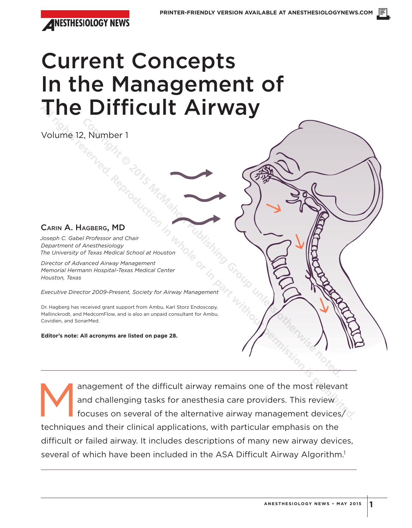

# Current Concepts In the Management of The Difficult Airway

Volume 12, Number 1

### CARIN A. HAGBERG, MD

*Joseph C. Gabel Professor and Chair Department of Anesthesiology The University of Texas Medical School at Houston*

*Director of Advanced Airway Management Memorial Hermann Hospital–Texas Medical Center Houston, Texas*

*Executive Director 2009-Present, Society for Airway Management*

Dr. Hagberg has received grant support from Ambu, Karl Storz Endoscopy, Mallinckrodt, and MedcomFlow, and is also an unpaid consultant for Ambu, Covidien, and SonarMed. **Copyright Contained Constrained Constrained Constrained Constrained Constrained Constrained Constrained Constrained Constrained Constrained Constrained Constrained Constrained Constrained Constrained Constrained Constrain** 

**Editor's note: All acronyms are listed on page 28.**

anagement of the difficult airway remains one of the most relevant<br>and challenging tasks for anesthesia care providers. This review<br>focuses on several of the alternative airway management devices/ and challenging tasks for anesthesia care providers. This review focuses on several of the alternative airway management devices/ techniques and their clinical applications, with particular emphasis on the difficult or failed airway. It includes descriptions of many new airway devices, several of which have been included in the ASA Difficult Airway Algorithm.<sup>1</sup> **All rights reserved. Reproduction in the part with states reserved.**<br>
CARIN A. HAGBERG, MD<br>
Department of Arrest Monday Char<br>
Department of Arrest Monday Char<br>
Power or Advanced Arrest Monday Character<br>
Power and Advanced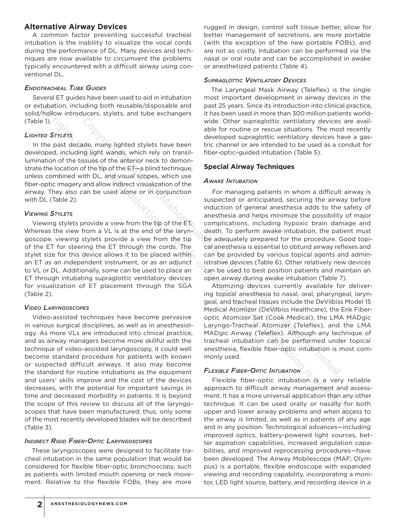### **Alternative Airway Devices**

A common factor preventing successful tracheal intubation is the inability to visualize the vocal cords during the performance of DL. Many devices and techniques are now available to circumvent the problems typically encountered with a difficult airway using conventional DL.

#### *ENDOTRACHEAL TUBE GUIDES*

Several ET guides have been used to aid in intubation or extubation, including both reusable/disposable and solid/hollow introducers, stylets, and tube exchangers (Table 1).

### *LIGHTED STYLETS*

In the past decade, many lighted stylets have been developed, including light wands, which rely on transillumination of the tissues of the anterior neck to demonstrate the location of the tip of the ET—a blind technique, unless combined with DL, and visual scopes, which use fiber-optic imagery and allow indirect visualization of the airway. They also can be used alone or in conjunction with DL (Table 2).

### *VIEWING STYLETS*

Viewing stylets provide a view from the tip of the ET. Whereas the view from a VL is at the end of the laryngoscope, viewing stylets provide a view from the tip of the ET for steering the ET through the cords. The stylet size for this device allows it to be placed within an ET as an independent instrument, or as an adjunct to VL or DL. Additionally, some can be used to place an ET through intubating supraglottic ventilatory devices for visualization of ET placement through the SGA (Table 2).

### *VIDEO LARYNGOSCOPES*

Video-assisted techniques have become pervasive in various surgical disciplines, as well as in anesthesiology. As more VLs are introduced into clinical practice, and as airway managers become more skillful with the technique of video-assisted laryngoscopy, it could well become standard procedure for patients with known or suspected difficult airways. It also may become the standard for routine intubations as the equipment and users' skills improve and the cost of the devices decreases, with the potential for important savings in time and decreased morbidity in patients. It is beyond the scope of this review to discuss all of the laryngoscopes that have been manufactured; thus, only some of the most recently developed blades will be described (Table 3). **Altherin, including the track is the secret in the control in the control in the control in the control in the secret or in the secret or in the secret or in the position in the secret the position in the secret or in the** 

#### *INDIRECT RIGID FIBER-OPTIC LARYNGOSCOPES*

These laryngoscopes were designed to facilitate tracheal intubation in the same population that would be considered for flexible fiber-optic bronchoscopy, such as patients with limited mouth opening or neck movement. Relative to the flexible FOBs, they are more

rugged in design, control soft tissue better, allow for better management of secretions, are more portable (with the exception of the new portable FOBs), and are not as costly. Intubation can be performed via the nasal or oral route and can be accomplished in awake or anesthetized patients (Table 4).

#### *SUPRAGLOTTIC VENTILATORY DEVICES*

The Laryngeal Mask Airway (Teleflex) is the single most important development in airway devices in the past 25 years. Since its introduction into clinical practice, it has been used in more than 300 million patients worldwide. Other supraglottic ventilatory devices are available for routine or rescue situations. The most recently developed supraglottic ventilatory devices have a gastric channel or are intended to be used as a conduit for fiber-optic–guided intubation (Table 5).

### **Special Airway Techniques**

### *AWAKE INTUBATION*

For managing patients in whom a difficult airway is suspected or anticipated, securing the airway before induction of general anesthesia adds to the safety of anesthesia and helps minimize the possibility of major complications, including hypoxic brain damage and death. To perform awake intubation, the patient must be adequately prepared for the procedure. Good topical anesthesia is essential to obtund airway reflexes and can be provided by various topical agents and administrative devices (Table 6). Other relatively new devices can be used to best position patients and maintain an open airway during awake intubation (Table 7). wide. Chere sumpled to the state of the state of the state of the state of the state of the time of the channel of the channel or an interded to be used as a cassus of the anti-orbit-orbit-orbit-orbit-orbit-orbit-orbit-orb

Atomizing devices currently available for delivering topical anesthesia to nasal, oral, pharyngeal, laryngeal, and tracheal tissues include the DeVilbiss Model 15 Medical Atomizer (DeVilbiss Healthcare), the Enk Fiberoptic Atomizer Set (Cook Medical), the LMA MADgic Laryngo-Tracheal Atomizer (Teleflex), and the LMA MADgic Airway (Teleflex). Although any technique of tracheal intubation can be performed under topical anesthesia, flexible fiber-optic intubation is most commonly used.

### *FLEXIBLE FIBER-OPTIC INTUBATION*

Flexible fiber-optic intubation is a very reliable approach to difficult airway management and assessment. It has a more universal application than any other technique. It can be used orally or nasally for both upper and lower airway problems and when access to the airway is limited, as well as in patients of any age and in any position. Technological advances—including improved optics, battery-powered light sources, better aspiration capabilities, increased angulation capabilities, and improved reprocessing procedures—have been developed. The Airway Mobilescope (MAF; Olympus) is a portable, flexible endoscope with expanded viewing and recording capability, incorporating a monitor, LED light source, battery, and recording device in a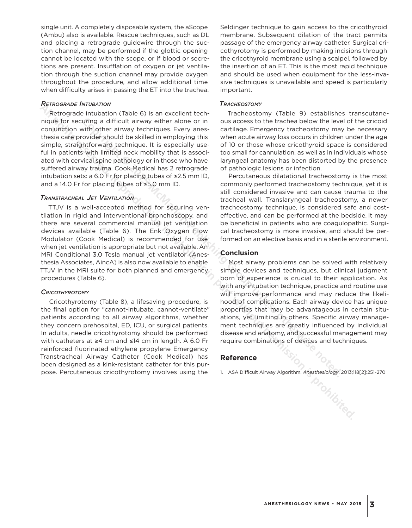single unit. A completely disposable system, the aScope (Ambu) also is available. Rescue techniques, such as DL and placing a retrograde guidewire through the suction channel, may be performed if the glottic opening cannot be located with the scope, or if blood or secretions are present. Insufflation of oxygen or jet ventilation through the suction channel may provide oxygen throughout the procedure, and allow additional time when difficulty arises in passing the ET into the trachea.

#### *RETROGRADE INTUBATION*

Retrograde intubation (Table 6) is an excellent technique for securing a difficult airway either alone or in conjunction with other airway techniques. Every anesthesia care provider should be skilled in employing this simple, straightforward technique. It is especially useful in patients with limited neck mobility that is associated with cervical spine pathology or in those who have suffered airway trauma. Cook Medical has 2 retrograde intubation sets: a 6.0 Fr for placing tubes of **≥**2.5 mm ID, and a 14.0 Fr for placing tubes of **≥**5.0 mm ID.

#### *TRANSTRACHEAL JET VENTILATION*

TTJV is a well-accepted method for securing ventilation in rigid and interventional bronchoscopy, and there are several commercial manual jet ventilation devices available (Table 6). The Enk Oxygen Flow Modulator (Cook Medical) is recommended for use when jet ventilation is appropriate but not available. An MRI Conditional 3.0 Tesla manual jet ventilator (Anesthesia Associates, AincA) is also now available to enable TTJV in the MRI suite for both planned and emergency procedures (Table 6). **All rights reserved.** Microsofta Microsofta and difficult airway of the microsofta reproduction in the analysis of in our second to the track content in the same production of the interaction or in our second to the track

#### *CRICOTHYROTOMY*

Cricothyrotomy (Table 8), a lifesaving procedure, is the final option for "cannot-intubate, cannot-ventilate" patients according to all airway algorithms, whether they concern prehospital, ED, ICU, or surgical patients. In adults, needle cricothyrotomy should be performed with catheters at **≥**4 cm and **≤**14 cm in length. A 6.0 Fr reinforced fluorinated ethylene propylene Emergency Transtracheal Airway Catheter (Cook Medical) has been designed as a kink-resistant catheter for this purpose. Percutaneous cricothyrotomy involves using the

Seldinger technique to gain access to the cricothyroid membrane. Subsequent dilation of the tract permits passage of the emergency airway catheter. Surgical cricothyrotomy is performed by making incisions through the cricothyroid membrane using a scalpel, followed by the insertion of an ET. This is the most rapid technique and should be used when equipment for the less-invasive techniques is unavailable and speed is particularly important.

#### *TRACHEOSTOMY*

Tracheostomy (Table 9) establishes transcutaneous access to the trachea below the level of the cricoid cartilage. Emergency tracheostomy may be necessary when acute airway loss occurs in children under the age of 10 or those whose cricothyroid space is considered too small for cannulation, as well as in individuals whose laryngeal anatomy has been distorted by the presence of pathologic lesions or infection.

Percutaneous dilatational tracheostomy is the most commonly performed tracheostomy technique, yet it is still considered invasive and can cause trauma to the tracheal wall. Translaryngeal tracheostomy, a newer tracheostomy technique, is considered safe and costeffective, and can be performed at the bedside. It may be beneficial in patients who are coagulopathic. Surgical tracheostomy is more invasive, and should be performed on an elective basis and in a sterile environment.

#### **Conclusion**

Most airway problems can be solved with relatively simple devices and techniques, but clinical judgment born of experience is crucial to their application. As with any intubation technique, practice and routine use will improve performance and may reduce the likelihood of complications. Each airway device has unique properties that may be advantageous in certain situations, yet limiting in others. Specific airway management techniques are greatly influenced by individual disease and anatomy, and successful management may require combinations of devices and techniques. uring a difficult airway either alone or in ous access to the trache below the level of the criccious over the society of the criccious of the criccious of the criccious of the matter airway besolve through this when acce

#### **Reference**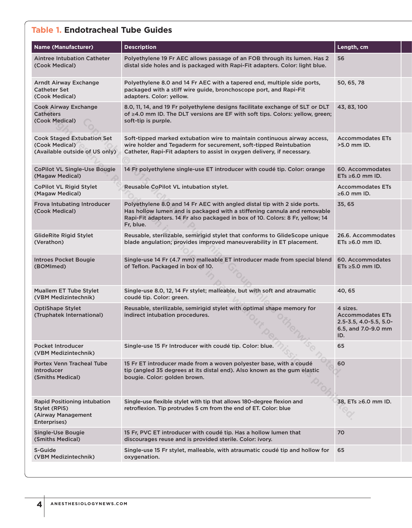### **Table 1. Endotracheal Tube Guides**

| <b>Name (Manufacturer)</b>                                                            | <b>Description</b>                                                                                                                                                                                                                                 | Length, cm                                                                                       |
|---------------------------------------------------------------------------------------|----------------------------------------------------------------------------------------------------------------------------------------------------------------------------------------------------------------------------------------------------|--------------------------------------------------------------------------------------------------|
| <b>Aintree Intubation Catheter</b><br>(Cook Medical)                                  | Polyethylene 19 Fr AEC allows passage of an FOB through its lumen. Has 2<br>distal side holes and is packaged with Rapi-Fit adapters. Color: light blue.                                                                                           | 56                                                                                               |
| Arndt Airway Exchange<br><b>Catheter Set</b><br>(Cook Medical)                        | Polyethylene 8.0 and 14 Fr AEC with a tapered end, multiple side ports,<br>packaged with a stiff wire guide, bronchoscope port, and Rapi-Fit<br>adapters. Color: yellow.                                                                           | 50, 65, 78                                                                                       |
| Cook Airway Exchange<br><b>Catheters</b><br>(Cook Medical)                            | 8.0, 11, 14, and 19 Fr polyethylene designs facilitate exchange of SLT or DLT<br>of ≥4.0 mm ID. The DLT versions are EF with soft tips. Colors: yellow, green;<br>soft-tip is purple.                                                              | 43, 83, 100                                                                                      |
| <b>Cook Staged Extubation Set</b><br>(Cook Medical)<br>(Available outside of US only) | Soft-tipped marked extubation wire to maintain continuous airway access,<br>wire holder and Tegaderm for securement, soft-tipped Reintubation<br>Catheter, Rapi-Fit adapters to assist in oxygen delivery, if necessary.                           | <b>Accommodates ETs</b><br>>5.0 mm ID.                                                           |
| <b>CoPilot VL Single-Use Bougie</b><br>(Magaw Medical)                                | 14 Fr polyethylene single-use ET introducer with coudé tip. Color: orange                                                                                                                                                                          | 60. Accommodates<br>ETs $\geq 6.0$ mm ID.                                                        |
| <b>CoPilot VL Rigid Stylet</b><br>(Magaw Medical)                                     | Reusable CoPilot VL intubation stylet.                                                                                                                                                                                                             | <b>Accommodates ETs</b><br>$\geq 6.0$ mm ID.                                                     |
| Frova Intubating Introducer<br>(Cook Medical)                                         | Polyethylene 8.0 and 14 Fr AEC with angled distal tip with 2 side ports.<br>Has hollow lumen and is packaged with a stiffening cannula and removable<br>Rapi-Fit adapters. 14 Fr also packaged in box of 10. Colors: 8 Fr, yellow; 14<br>Fr, blue. | 35, 65                                                                                           |
| <b>GlideRite Rigid Stylet</b><br>(Verathon)                                           | Reusable, sterilizable, semirigid stylet that conforms to GlideScope unique<br>blade angulation; provides improved maneuverability in ET placement.                                                                                                | 26.6. Accommodates<br>$ETs \geq 6.0$ mm ID.                                                      |
| <b>Introes Pocket Bougie</b><br>(BOMImed)                                             | Single-use 14 Fr (4.7 mm) malleable ET introducer made from special blend<br>of Teflon. Packaged in box of 10.                                                                                                                                     | 60. Accommodates<br>$ETs \geq 5.0$ mm ID.                                                        |
| <b>Muallem ET Tube Stylet</b><br>(VBM Medizintechnik)                                 | Single-use 8.0, 12, 14 Fr stylet; malleable, but with soft and atraumatic<br>coudé tip. Color: green.                                                                                                                                              | 40, 65                                                                                           |
| <b>OptiShape Stylet</b><br>(Truphatek International)                                  | Reusable, sterilizable, semirigid stylet with optimal shape memory for<br>indirect intubation procedures.                                                                                                                                          | 4 sizes.<br><b>Accommodates ETs</b><br>$2.5 - 3.5$ , 4.0-5.5, 5.0-<br>6.5, and 7.0-9.0 mm<br>ID. |
| Pocket Introducer<br>(VBM Medizintechnik)                                             | Single-use 15 Fr Introducer with coudé tip. Color: blue.                                                                                                                                                                                           | 65                                                                                               |
| <b>Portex Venn Tracheal Tube</b><br>Introducer<br>(Smiths Medical)                    | 15 Fr ET introducer made from a woven polyester base, with a coudé<br>tip (angled 35 degrees at its distal end). Also known as the gum elastic<br>bougie. Color: golden brown.                                                                     | 60                                                                                               |
| Rapid Positioning intubation<br>Stylet (RPiS)<br>(Airway Management<br>Enterprises)   | Single-use flexible stylet with tip that allows 180-degree flexion and<br>retroflexion. Tip protrudes 5 cm from the end of ET. Color: blue                                                                                                         | 38, ETs ≥6.0 mm ID.                                                                              |
| <b>Single-Use Bougie</b><br>(Smiths Medical)                                          | 15 Fr, PVC ET introducer with coudé tip. Has a hollow lumen that<br>discourages reuse and is provided sterile. Color: ivory.                                                                                                                       | 70                                                                                               |
| S-Guide<br>(VBM Medizintechnik)                                                       | Single-use 15 Fr stylet, malleable, with atraumatic coudé tip and hollow for<br>oxygenation.                                                                                                                                                       | 65                                                                                               |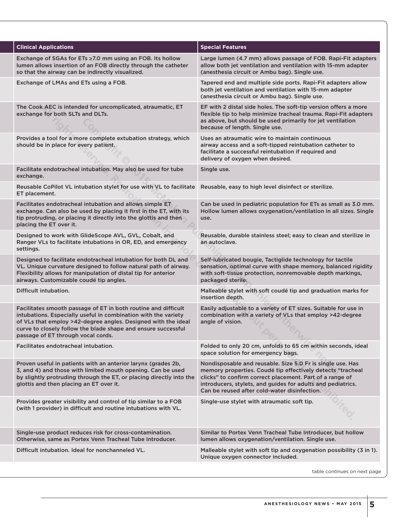| <b>Clinical Applications</b>                                                                                                                                                                                                                                                                             | <b>Special Features</b>                                                                                                                                                                                                                                                                             |
|----------------------------------------------------------------------------------------------------------------------------------------------------------------------------------------------------------------------------------------------------------------------------------------------------------|-----------------------------------------------------------------------------------------------------------------------------------------------------------------------------------------------------------------------------------------------------------------------------------------------------|
| Exchange of SGAs for ETs $\geq$ 7.0 mm using an FOB. Its hollow<br>lumen allows insertion of an FOB directly through the catheter<br>so that the airway can be indirectly visualized.                                                                                                                    | Large lumen (4.7 mm) allows passage of FOB. Rapi-Fit adapters<br>allow both jet ventilation and ventilation with 15-mm adapter<br>(anesthesia circuit or Ambu bag). Single use.                                                                                                                     |
| Exchange of LMAs and ETs using a FOB.                                                                                                                                                                                                                                                                    | Tapered end and multiple side ports. Rapi-Fit adapters allow<br>both jet ventilation and ventilation with 15-mm adapter<br>(anesthesia circuit or Ambu bag). Single use.                                                                                                                            |
| The Cook AEC is intended for uncomplicated, atraumatic, ET<br>exchange for both SLTs and DLTs.                                                                                                                                                                                                           | EF with 2 distal side holes. The soft-tip version offers a more<br>flexible tip to help minimize tracheal trauma. Rapi-Fit adapters<br>as above, but should be used primarily for jet ventilation<br>because of length. Single use.                                                                 |
| Provides a tool for a more complete extubation strategy, which<br>should be in place for every patient.                                                                                                                                                                                                  | Uses an atraumatic wire to maintain continuous<br>airway access and a soft-tipped reintubation catheter to<br>facilitate a successful reintubation if required and<br>delivery of oxygen when desired.                                                                                              |
| Facilitate endotracheal intubation. May also be used for tube<br>exchange.                                                                                                                                                                                                                               | Single use.                                                                                                                                                                                                                                                                                         |
| Reusable CoPilot VL intubation stylet for use with VL to facilitate<br>ET placement.                                                                                                                                                                                                                     | Reusable, easy to high level disinfect or sterilize.                                                                                                                                                                                                                                                |
| Facilitates endotracheal intubation and allows simple ET<br>exchange. Can also be used by placing it first in the ET, with its<br>tip protruding, or placing it directly into the glottis and then<br>placing the ET over it.                                                                            | Can be used in pediatric population for ETs as small as 3.0 mm.<br>Hollow lumen allows oxygenation/ventilation in all sizes. Single<br>use.                                                                                                                                                         |
| Designed to work with GlideScope AVL, GVL, Cobalt, and<br>Ranger VLs to facilitate intubations in OR, ED, and emergency<br>settings.                                                                                                                                                                     | Reusable, durable stainless steel; easy to clean and sterilize in<br>an autoclave.                                                                                                                                                                                                                  |
| Designed to facilitate endotracheal intubation for both DL and<br>VL. Unique curvature designed to follow natural path of airway.<br>Flexibility allows for manipulation of distal tip for anterior<br>airways. Customizable coudé tip angles.                                                           | Self-lubricated bougie, Tactiglide technology for tactile<br>sensation, optimal curve with shape memory, balanced rigidity<br>with soft-tissue protection, nonremovable depth markings,<br>packaged sterile.                                                                                        |
| Difficult intubation.                                                                                                                                                                                                                                                                                    | Malleable stylet with soft coudé tip and graduation marks for<br>insertion depth.                                                                                                                                                                                                                   |
| Facilitates smooth passage of ET in both routine and difficult<br>intubations. Especially useful in combination with the variety<br>of VLs that employ >42-degree angles. Designed with the ideal<br>curve to closely follow the blade shape and ensure successful<br>passage of ET through vocal cords. | Easily adjustable to a variety of ET sizes. Suitable for use in<br>combination with a variety of VLs that employ >42-degree<br>angle of vision.                                                                                                                                                     |
| Facilitates endotracheal intubation.                                                                                                                                                                                                                                                                     | Folded to only 20 cm, unfolds to 65 cm within seconds, ideal<br>space solution for emergency bags.                                                                                                                                                                                                  |
| Proven useful in patients with an anterior larynx (grades 2b,<br>3, and 4) and those with limited mouth opening. Can be used<br>by slightly protruding through the ET, or placing directly into the<br>glottis and then placing an ET over it.                                                           | Nondisposable and reusable. Size 5.0 Fr is single use. Has<br>memory properties. Coudé tip effectively detects "tracheal<br>clicks" to confirm correct placement. Part of a range of<br>introducers, stylets, and guides for adults and pediatrics.<br>Can be reused after cold-water disinfection. |
| Provides greater visibility and control of tip similar to a FOB<br>(with 1 provider) in difficult and routine intubations with VL.                                                                                                                                                                       | Single-use stylet with atraumatic soft tip.                                                                                                                                                                                                                                                         |
| Single-use product reduces risk for cross-contamination.<br>Otherwise, same as Portex Venn Tracheal Tube Introducer.                                                                                                                                                                                     | Similar to Portex Venn Tracheal Tube Introducer, but hollow<br>lumen allows oxygenation/ventilation. Single use.                                                                                                                                                                                    |
| Difficult intubation. Ideal for nonchanneled VL.                                                                                                                                                                                                                                                         | Malleable stylet with soft tip and oxygenation possibility (3 in 1).<br>Unique oxygen connector included.                                                                                                                                                                                           |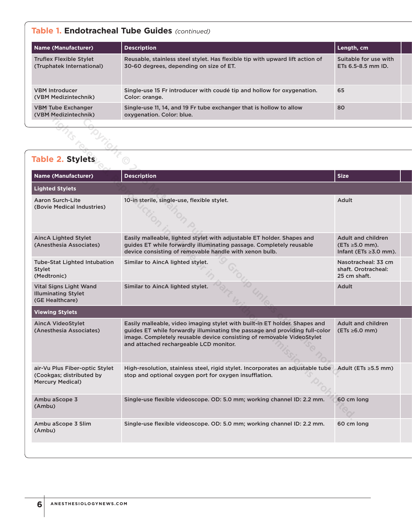### **Table 1. Endotracheal Tube Guides** *(continued)*

| <b>Name (Manufacturer)</b>                                  | <b>Description</b>                                                                                                       | Length, cm                                      |  |
|-------------------------------------------------------------|--------------------------------------------------------------------------------------------------------------------------|-------------------------------------------------|--|
| <b>Truflex Flexible Stylet</b><br>(Truphatek International) | Reusable, stainless steel stylet. Has flexible tip with upward lift action of<br>30-60 degrees, depending on size of ET. | Suitable for use with<br>ETs $6.5 - 8.5$ mm ID. |  |
| <b>VBM Introducer</b><br>(VBM Medizintechnik)               | Single-use 15 Fr introducer with coudé tip and hollow for oxygenation.<br>Color: orange.                                 | 65                                              |  |
| <b>VBM Tube Exchanger</b><br>(VBM Medizintechnik)           | Single-use 11, 14, and 19 Fr tube exchanger that is hollow to allow<br>oxygenation. Color: blue.                         | 80                                              |  |

| <b>VBM Tube Exchanger</b><br>(VBM Medizintechnik)                                     | Single-use 11, 14, and 19 Fr tube exchanger that is hollow to allow<br>oxygenation. Color: blue.                                                                                                                                                                             | 80                                                                       |
|---------------------------------------------------------------------------------------|------------------------------------------------------------------------------------------------------------------------------------------------------------------------------------------------------------------------------------------------------------------------------|--------------------------------------------------------------------------|
|                                                                                       |                                                                                                                                                                                                                                                                              |                                                                          |
| <b>Table 2. Stylets</b>                                                               |                                                                                                                                                                                                                                                                              |                                                                          |
| <b>Name (Manufacturer)</b>                                                            | <b>Description</b>                                                                                                                                                                                                                                                           | <b>Size</b>                                                              |
| <b>Lighted Stylets</b>                                                                |                                                                                                                                                                                                                                                                              |                                                                          |
| Aaron Surch-Lite<br>(Bovie Medical Industries)                                        | 10-in sterile, single-use, flexible stylet.                                                                                                                                                                                                                                  | Adult                                                                    |
| <b>AincA Lighted Stylet</b><br>(Anesthesia Associates)                                | Easily malleable, lighted stylet with adjustable ET holder. Shapes and<br>guides ET while forwardly illuminating passage. Completely reusable<br>device consisting of removable handle with xenon bulb.                                                                      | Adult and children<br>$(ETS \ge 5.0 mm).$<br>Infant (ETs $\geq$ 3.0 mm). |
| <b>Tube-Stat Lighted Intubation</b><br><b>Stylet</b><br>(Medtronic)                   | Similar to AincA lighted stylet.                                                                                                                                                                                                                                             | Nasotracheal: 33 cm<br>shaft. Orotracheal:<br>25 cm shaft.               |
| <b>Vital Signs Light Wand</b><br><b>Illuminating Stylet</b><br>(GE Healthcare)        | Similar to AincA lighted stylet.                                                                                                                                                                                                                                             | Adult                                                                    |
| <b>Viewing Stylets</b>                                                                |                                                                                                                                                                                                                                                                              |                                                                          |
| <b>AincA VideoStylet</b><br>(Anesthesia Associates)                                   | Easily malleable, video imaging stylet with built-in ET holder. Shapes and<br>guides ET while forwardly illuminating the passage and providing full-color<br>image. Completely reusable device consisting of removable VideoStylet<br>and attached rechargeable LCD monitor. | <b>Adult and children</b><br>$(ETs \ge 6.0 mm)$                          |
| air-Vu Plus Fiber-optic Stylet<br>(Cookgas; distributed by<br><b>Mercury Medical)</b> | High-resolution, stainless steel, rigid stylet. Incorporates an adjustable tube<br>stop and optional oxygen port for oxygen insufflation.                                                                                                                                    | Adult (ETs $\geq$ 5.5 mm)                                                |
| Ambu aScope 3<br>(Ambu)                                                               | Single-use flexible videoscope. OD: 5.0 mm; working channel ID: 2.2 mm.                                                                                                                                                                                                      | 60 cm long                                                               |
| Ambu aScope 3 Slim<br>(Ambu)                                                          | Single-use flexible videoscope. OD: 5.0 mm; working channel ID: 2.2 mm.                                                                                                                                                                                                      | 60 cm long                                                               |
|                                                                                       |                                                                                                                                                                                                                                                                              |                                                                          |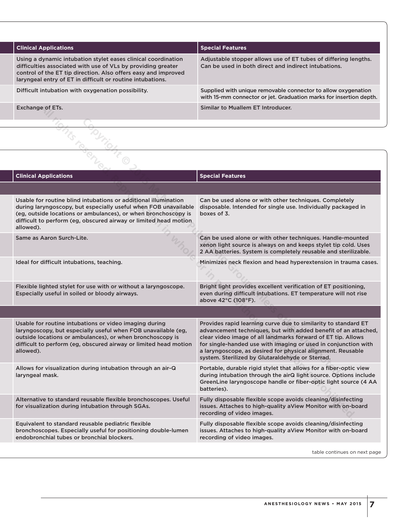| <b>Clinical Applications</b>                                                                                                                                                                                                                                  | <b>Special Features</b>                                                                                                             |
|---------------------------------------------------------------------------------------------------------------------------------------------------------------------------------------------------------------------------------------------------------------|-------------------------------------------------------------------------------------------------------------------------------------|
| Using a dynamic intubation stylet eases clinical coordination<br>difficulties associated with use of VLs by providing greater<br>control of the ET tip direction. Also offers easy and improved<br>laryngeal entry of ET in difficult or routine intubations. | Adjustable stopper allows use of ET tubes of differing lengths.<br>Can be used in both direct and indirect intubations.             |
| Difficult intubation with oxygenation possibility.                                                                                                                                                                                                            | Supplied with unique removable connector to allow oxygenation<br>with 15-mm connector or jet. Graduation marks for insertion depth. |
| Exchange of ETs.                                                                                                                                                                                                                                              | Similar to Muallem ET Introducer.                                                                                                   |

| Exchange of ETs.                                                                                                                                                                                                                                                                      | Similar to Muallem ET Introducer.                                                                                                                                                                                                                                                                                                                                                     |
|---------------------------------------------------------------------------------------------------------------------------------------------------------------------------------------------------------------------------------------------------------------------------------------|---------------------------------------------------------------------------------------------------------------------------------------------------------------------------------------------------------------------------------------------------------------------------------------------------------------------------------------------------------------------------------------|
|                                                                                                                                                                                                                                                                                       |                                                                                                                                                                                                                                                                                                                                                                                       |
|                                                                                                                                                                                                                                                                                       |                                                                                                                                                                                                                                                                                                                                                                                       |
| <b>Clinical Applications</b>                                                                                                                                                                                                                                                          | <b>Special Features</b>                                                                                                                                                                                                                                                                                                                                                               |
|                                                                                                                                                                                                                                                                                       |                                                                                                                                                                                                                                                                                                                                                                                       |
| Usable for routine blind intubations or additional illumination<br>during laryngoscopy, but especially useful when FOB unavailable<br>(eg, outside locations or ambulances), or when bronchoscopy is<br>difficult to perform (eg, obscured airway or limited head motion<br>allowed). | Can be used alone or with other techniques. Completely<br>disposable. Intended for single use. Individually packaged in<br>boxes of 3.                                                                                                                                                                                                                                                |
| Same as Aaron Surch-Lite.                                                                                                                                                                                                                                                             | Can be used alone or with other techniques. Handle-mounted<br>xenon light source is always on and keeps stylet tip cold. Uses<br>2 AA batteries. System is completely reusable and sterilizable.                                                                                                                                                                                      |
| Ideal for difficult intubations, teaching.                                                                                                                                                                                                                                            | Minimizes neck flexion and head hyperextension in trauma cases.                                                                                                                                                                                                                                                                                                                       |
| Flexible lighted stylet for use with or without a laryngoscope.<br>Especially useful in soiled or bloody airways.                                                                                                                                                                     | Bright light provides excellent verification of ET positioning,<br>even during difficult intubations. ET temperature will not rise<br>above 42°C (108°F).                                                                                                                                                                                                                             |
|                                                                                                                                                                                                                                                                                       |                                                                                                                                                                                                                                                                                                                                                                                       |
| Usable for routine intubations or video imaging during<br>laryngoscopy, but especially useful when FOB unavailable (eg,<br>outside locations or ambulances), or when bronchoscopy is<br>difficult to perform (eg, obscured airway or limited head motion<br>allowed).                 | Provides rapid learning curve due to similarity to standard ET<br>advancement techniques, but with added benefit of an attached,<br>clear video image of all landmarks forward of ET tip. Allows<br>for single-handed use with imaging or used in conjunction with<br>a laryngoscope, as desired for physical alignment. Reusable<br>system. Sterilized by Glutaraldehyde or Sterrad. |
| Allows for visualization during intubation through an air-Q<br>laryngeal mask.                                                                                                                                                                                                        | Portable, durable rigid stylet that allows for a fiber-optic view<br>during intubation through the airQ light source. Options include<br>GreenLine laryngoscope handle or fiber-optic light source (4 AA<br>batteries).                                                                                                                                                               |
| Alternative to standard reusable flexible bronchoscopes. Useful<br>for visualization during intubation through SGAs.                                                                                                                                                                  | Fully disposable flexible scope avoids cleaning/disinfecting<br>issues. Attaches to high-quality aView Monitor with on-board<br>recording of video images.                                                                                                                                                                                                                            |
| Equivalent to standard reusable pediatric flexible<br>bronchoscopes. Especially useful for positioning double-lumen<br>endobronchial tubes or bronchial blockers.                                                                                                                     | Fully disposable flexible scope avoids cleaning/disinfecting<br>issues. Attaches to high-quality aView Monitor with on-board<br>recording of video images.                                                                                                                                                                                                                            |
|                                                                                                                                                                                                                                                                                       | table continues on next page                                                                                                                                                                                                                                                                                                                                                          |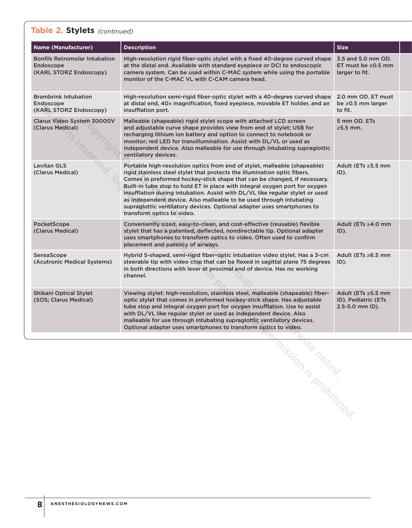### **Table 2. Stylets** *(continued)*

| <b>Name (Manufacturer)</b>                                                  | <b>Description</b>                                                                                                                                                                                                                                                                                                                                                                                                                                                                                                                                                                | <b>Size</b>                                                      |
|-----------------------------------------------------------------------------|-----------------------------------------------------------------------------------------------------------------------------------------------------------------------------------------------------------------------------------------------------------------------------------------------------------------------------------------------------------------------------------------------------------------------------------------------------------------------------------------------------------------------------------------------------------------------------------|------------------------------------------------------------------|
| <b>Bonfils Retromolar Intubation</b><br>Endoscope<br>(KARL STORZ Endoscopy) | High-resolution rigid fiber-optic stylet with a fixed 40-degree curved shape<br>at the distal end. Available with standard evepiece or DCI to endoscopic<br>camera system. Can be used within C-MAC system while using the portable<br>monitor of the C-MAC VL with C-CAM camera head.                                                                                                                                                                                                                                                                                            | 3.5 and 5.0 mm OD.<br>ET must be $\geq$ 0.5 mm<br>larger to fit. |
| <b>Brambrink Intubation</b><br>Endoscope<br>(KARL STORZ Endoscopy)          | High-resolution semi-rigid fiber-optic stylet with a 40-degree curved shape<br>at distal end, 40x magnification, fixed eyepiece, movable ET holder, and an<br>insufflation port.                                                                                                                                                                                                                                                                                                                                                                                                  | 2.0 mm OD. ET must<br>be ≥0.5 mm larger<br>to fit.               |
| Clarus Video System 30000V<br>(Clarus Medical)                              | Malleable (shapeable) rigid stylet scope with attached LCD screen<br>and adjustable curve shape provides view from end of stylet; USB for<br>recharging lithium ion battery and option to connect to notebook or<br>monitor; red LED for transillumination. Assist with DL/VL or used as<br>independent device. Also malleable for use through intubating supraglottic<br>ventilatory devices.                                                                                                                                                                                    | 5 mm OD. ETs<br>$\geq$ 5.5 mm.                                   |
| <b>Levitan GLS</b><br>(Clarus Medical)                                      | Portable high-resolution optics from end of stylet, malleable (shapeable)<br>rigid stainless steel stylet that protects the illumination optic fibers.<br>Comes in preformed hockey-stick shape that can be changed, if necessary.<br>Built-in tube stop to hold ET in place with integral oxygen port for oxygen<br>insufflation during intubation. Assist with DL/VL like regular stylet or used<br>as independent device. Also malleable to be used through intubating<br>supraglottic ventilatory devices. Optional adapter uses smartphones to<br>transform optics to video. | Adult (ETs ≥5.5 mm<br>ID).                                       |
| PocketScope<br>(Clarus Medical)                                             | Conveniently sized, easy-to-clean, and cost-effective (reusable) flexible<br>stylet that has a patented, deflected, nondirectable tip. Optional adapter<br>uses smartphones to transform optics to video. Often used to confirm<br>placement and patency of airways.                                                                                                                                                                                                                                                                                                              | Adult (ETs ≥4.0 mm<br>ID).                                       |
| SensaScope<br>(Acutronic Medical Systems)                                   | Hybrid S-shaped, semi-rigid fiber-optic intubation video stylet. Has a 3-cm<br>steerable tip with video chip that can be flexed in sagittal plane 75 degrees<br>in both directions with lever at proximal end of device. Has no working<br>channel.                                                                                                                                                                                                                                                                                                                               | Adult (ETs $\geq 6.5$ mm<br>ID).                                 |
| <b>Shikani Optical Stylet</b><br>(SOS; Clarus Medical)                      | Viewing stylet: high-resolution, stainless steel, malleable (shapeable) fiber-<br>optic stylet that comes in preformed hockey-stick shape. Has adjustable<br>tube stop and integral oxygen port for oxygen insufflation. Use to assist<br>with DL/VL like regular stylet or used as independent device. Also<br>malleable for use through intubating supraglottic ventilatory devices.<br>Optional adapter uses smartphones to transform optics to video.                                                                                                                         | Adult (ETs ≥5.5 mm<br>ID). Pediatric (ETs<br>2.5-5.0 mm ID).     |
|                                                                             |                                                                                                                                                                                                                                                                                                                                                                                                                                                                                                                                                                                   |                                                                  |
|                                                                             |                                                                                                                                                                                                                                                                                                                                                                                                                                                                                                                                                                                   |                                                                  |
|                                                                             |                                                                                                                                                                                                                                                                                                                                                                                                                                                                                                                                                                                   |                                                                  |
|                                                                             |                                                                                                                                                                                                                                                                                                                                                                                                                                                                                                                                                                                   |                                                                  |
|                                                                             |                                                                                                                                                                                                                                                                                                                                                                                                                                                                                                                                                                                   |                                                                  |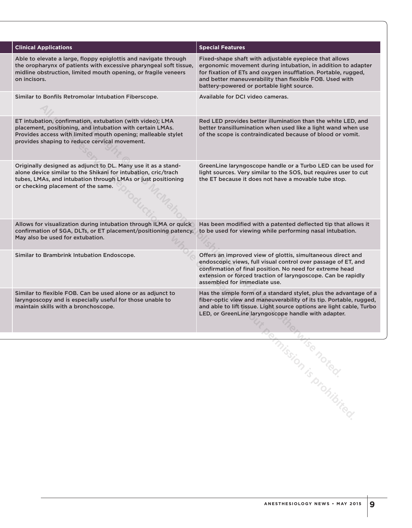| <b>Clinical Applications</b>                                                                                                                                                                                                            | <b>Special Features</b>                                                                                                                                                                                                                                                                          |  |
|-----------------------------------------------------------------------------------------------------------------------------------------------------------------------------------------------------------------------------------------|--------------------------------------------------------------------------------------------------------------------------------------------------------------------------------------------------------------------------------------------------------------------------------------------------|--|
| Able to elevate a large, floppy epiglottis and navigate through<br>the oropharynx of patients with excessive pharyngeal soft tissue,<br>midline obstruction, limited mouth opening, or fragile veneers<br>on incisors.                  | Fixed-shape shaft with adjustable eyepiece that allows<br>ergonomic movement during intubation, in addition to adapter<br>for fixation of ETs and oxygen insufflation. Portable, rugged,<br>and better maneuverability than flexible FOB. Used with<br>battery-powered or portable light source. |  |
| Similar to Bonfils Retromolar Intubation Fiberscope.                                                                                                                                                                                    | Available for DCI video cameras.                                                                                                                                                                                                                                                                 |  |
| ET intubation, confirmation, extubation (with video); LMA<br>placement, positioning, and intubation with certain LMAs.<br>Provides access with limited mouth opening; malleable stylet<br>provides shaping to reduce cervical movement. | Red LED provides better illumination than the white LED, and<br>better transillumination when used like a light wand when use<br>of the scope is contraindicated because of blood or vomit.                                                                                                      |  |
| Originally designed as adjunct to DL. Many use it as a stand-<br>alone device similar to the Shikani for intubation, cric/trach<br>tubes, LMAs, and intubation through LMAs or just positioning<br>or checking placement of the same.   | GreenLine laryngoscope handle or a Turbo LED can be used for<br>light sources. Very similar to the SOS, but requires user to cut<br>the ET because it does not have a movable tube stop.                                                                                                         |  |
| Allows for visualization during intubation through ILMA or quick<br>confirmation of SGA, DLTs, or ET placement/positioning patency.<br>May also be used for extubation.                                                                 | Has been modified with a patented deflected tip that allows it<br>to be used for viewing while performing nasal intubation.                                                                                                                                                                      |  |
| Similar to Brambrink Intubation Endoscope.                                                                                                                                                                                              | Offers an improved view of glottis, simultaneous direct and<br>endoscopic views, full visual control over passage of ET, and<br>confirmation of final position. No need for extreme head<br>extension or forced traction of laryngoscope. Can be rapidly<br>assembled for immediate use.         |  |
| Similar to flexible FOB. Can be used alone or as adjunct to<br>laryngoscopy and is especially useful for those unable to<br>maintain skills with a bronchoscope.                                                                        | Has the simple form of a standard stylet, plus the advantage of a<br>fiber-optic view and maneuverability of its tip. Portable, rugged,<br>and able to lift tissue. Light source options are light cable, Turbo<br>LED, or GreenLine laryngoscope handle with adapter.                           |  |
|                                                                                                                                                                                                                                         |                                                                                                                                                                                                                                                                                                  |  |
|                                                                                                                                                                                                                                         |                                                                                                                                                                                                                                                                                                  |  |
|                                                                                                                                                                                                                                         |                                                                                                                                                                                                                                                                                                  |  |
|                                                                                                                                                                                                                                         |                                                                                                                                                                                                                                                                                                  |  |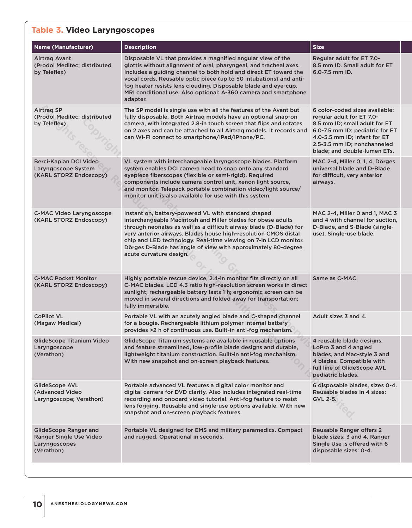### **Table 3. Video Laryngoscopes**

| <b>Name (Manufacturer)</b>                                                             | <b>Description</b>                                                                                                                                                                                                                                                                                                                                                                                                           | <b>Size</b>                                                                                                                                                                                                                    |
|----------------------------------------------------------------------------------------|------------------------------------------------------------------------------------------------------------------------------------------------------------------------------------------------------------------------------------------------------------------------------------------------------------------------------------------------------------------------------------------------------------------------------|--------------------------------------------------------------------------------------------------------------------------------------------------------------------------------------------------------------------------------|
| Airtrag Avant<br>(Prodol Meditec; distributed<br>by Teleflex)                          | Disposable VL that provides a magnified angular view of the<br>glottis without alignment of oral, pharyngeal, and tracheal axes.<br>Includes a guiding channel to both hold and direct ET toward the<br>vocal cords. Reusable optic piece (up to 50 intubations) and anti-<br>fog heater resists lens clouding. Disposable blade and eye-cup.<br>MRI conditional use. Also optional: A-360 camera and smartphone<br>adapter. | Regular adult for ET 7.0-<br>8.5 mm ID. Small adult for ET<br>6.0-7.5 mm ID.                                                                                                                                                   |
| Airtrag SP<br>(Prodol Meditec; distributed<br>by Teleflex)                             | The SP model is single use with all the features of the Avant but<br>fully disposable. Both Airtrag models have an optional snap-on<br>camera, with integrated 2.8-in touch screen that flips and rotates<br>on 2 axes and can be attached to all Airtrag models. It records and<br>can Wi-Fi connect to smartphone/iPad/iPhone/PC.                                                                                          | 6 color-coded sizes available:<br>regular adult for ET 7.0-<br>8.5 mm ID; small adult for ET<br>6.0-7.5 mm ID; pediatric for ET<br>4.0-5.5 mm ID; infant for ET<br>2.5-3.5 mm ID; nonchanneled<br>blade; and double-lumen ETs. |
| Berci-Kaplan DCI Video<br>Laryngoscope System<br>(KARL STORZ Endoscopy)                | VL system with interchangeable laryngoscope blades. Platform<br>system enables DCI camera head to snap onto any standard<br>eyepiece fiberscopes (flexible or semi-rigid). Required<br>components include camera control unit, xenon light source,<br>and monitor. Telepack portable combination video/light source/<br>monitor unit is also available for use with this system.                                             | MAC 2-4, Miller 0, 1, 4, Dörges<br>universal blade and D-Blade<br>for difficult, very anterior<br>airways.                                                                                                                     |
| <b>C-MAC Video Laryngoscope</b><br>(KARL STORZ Endoscopy)                              | Instant on, battery-powered VL with standard shaped<br>interchangeable Macintosh and Miller blades for obese adults<br>through neonates as well as a difficult airway blade (D-Blade) for<br>very anterior airways. Blades house high-resolution CMOS distal<br>chip and LED technology. Real-time viewing on 7-in LCD monitor.<br>Dörges D-Blade has angle of view with approximately 80-degree<br>acute curvature design.  | MAC 2-4, Miller 0 and 1, MAC 3<br>and 4 with channel for suction,<br>D-Blade, and S-Blade (single-<br>use). Single-use blade.                                                                                                  |
| <b>C-MAC Pocket Monitor</b><br>(KARL STORZ Endoscopy)                                  | Highly portable rescue device, 2.4-in monitor fits directly on all<br>C-MAC blades. LCD 4.3 ratio high-resolution screen works in direct<br>sunlight; rechargeable battery lasts 1 h; ergonomic screen can be<br>moved in several directions and folded away for transportation;<br>fully immersible.                                                                                                                        | Same as C-MAC.                                                                                                                                                                                                                 |
| <b>CoPilot VL</b><br>(Magaw Medical)                                                   | Portable VL with an acutely angled blade and C-shaped channel<br>for a bougie. Rechargeable lithium polymer internal battery<br>provides >2 h of continuous use. Built-in anti-fog mechanism.                                                                                                                                                                                                                                | Adult sizes 3 and 4.                                                                                                                                                                                                           |
| GlideScope Titanium Video<br>Laryngoscope<br>(Verathon)                                | GlideScope Titanium systems are available in reusable options<br>and feature streamlined, low-profile blade designs and durable,<br>lightweight titanium construction. Built-in anti-fog mechanism.<br>With new snapshot and on-screen playback features.                                                                                                                                                                    | 4 reusable blade designs.<br>LoPro 3 and 4 angled<br>blades, and Mac-style 3 and<br>4 blades. Compatible with<br>full line of GlideScope AVL<br>pediatric blades.                                                              |
| <b>GlideScope AVL</b><br>(Advanced Video<br>Laryngoscope; Verathon)                    | Portable advanced VL features a digital color monitor and<br>digital camera for DVD clarity. Also includes integrated real-time<br>recording and onboard video tutorial. Anti-fog feature to resist<br>lens fogging. Reusable and single-use options available. With new<br>snapshot and on-screen playback features.                                                                                                        | 6 disposable blades, sizes 0-4.<br>Reusable blades in 4 sizes:<br>GVL 2-5.                                                                                                                                                     |
| <b>GlideScope Ranger and</b><br>Ranger Single Use Video<br>Laryngoscopes<br>(Verathon) | Portable VL designed for EMS and military paramedics. Compact<br>and rugged. Operational in seconds.                                                                                                                                                                                                                                                                                                                         | <b>Reusable Ranger offers 2</b><br>blade sizes: 3 and 4. Ranger<br>Single Use is offered with 6<br>disposable sizes: 0-4.                                                                                                      |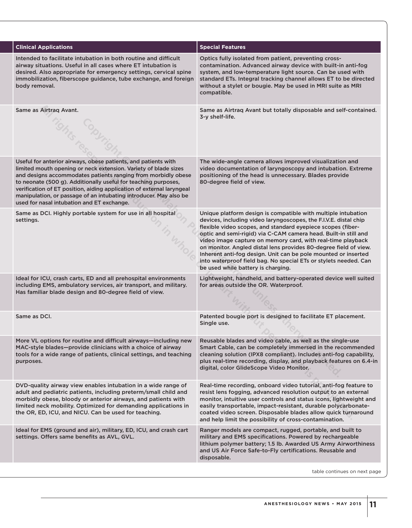| <b>Clinical Applications</b>                                                                                                                                                                                                                                                                                                                                                                                                                                     | <b>Special Features</b>                                                                                                                                                                                                                                                                                                                                                                                                                                                                                                                                                            |
|------------------------------------------------------------------------------------------------------------------------------------------------------------------------------------------------------------------------------------------------------------------------------------------------------------------------------------------------------------------------------------------------------------------------------------------------------------------|------------------------------------------------------------------------------------------------------------------------------------------------------------------------------------------------------------------------------------------------------------------------------------------------------------------------------------------------------------------------------------------------------------------------------------------------------------------------------------------------------------------------------------------------------------------------------------|
| Intended to facilitate intubation in both routine and difficult<br>airway situations. Useful in all cases where ET intubation is<br>desired. Also appropriate for emergency settings, cervical spine<br>immobilization, fiberscope guidance, tube exchange, and foreign<br>body removal.                                                                                                                                                                         | Optics fully isolated from patient, preventing cross-<br>contamination. Advanced airway device with built-in anti-fog<br>system, and low-temperature light source. Can be used with<br>standard ETs. Integral tracking channel allows ET to be directed<br>without a stylet or bougie. May be used in MRI suite as MRI<br>compatible.                                                                                                                                                                                                                                              |
| Same as Airtrag Avant.                                                                                                                                                                                                                                                                                                                                                                                                                                           | Same as Airtrag Avant but totally disposable and self-contained.<br>3-y shelf-life.                                                                                                                                                                                                                                                                                                                                                                                                                                                                                                |
| Useful for anterior airways, obese patients, and patients with<br>limited mouth opening or neck extension. Variety of blade sizes<br>and designs accommodates patients ranging from morbidly obese<br>to neonate (500 g). Additionally useful for teaching purposes,<br>verification of ET position, aiding application of external laryngeal<br>manipulation, or passage of an intubating introducer. May also be<br>used for nasal intubation and ET exchange. | The wide-angle camera allows improved visualization and<br>video documentation of laryngoscopy and intubation. Extreme<br>positioning of the head is unnecessary. Blades provide<br>80-degree field of view.                                                                                                                                                                                                                                                                                                                                                                       |
| Same as DCI. Highly portable system for use in all hospital<br>settings.                                                                                                                                                                                                                                                                                                                                                                                         | Unique platform design is compatible with multiple intubation<br>devices, including video laryngoscopes, the F.I.V.E. distal chip<br>flexible video scopes, and standard eyepiece scopes (fiber-<br>optic and semi-rigid) via C-CAM camera head. Built-in still and<br>video image capture on memory card, with real-time playback<br>on monitor. Angled distal lens provides 80-degree field of view.<br>Inherent anti-fog design. Unit can be pole mounted or inserted<br>into waterproof field bag. No special ETs or stylets needed. Can<br>be used while battery is charging. |
| Ideal for ICU, crash carts, ED and all prehospital environments<br>including EMS, ambulatory services, air transport, and military.<br>Has familiar blade design and 80-degree field of view.                                                                                                                                                                                                                                                                    | Lightweight, handheld, and battery-operated device well suited<br>for areas outside the OR. Waterproof.                                                                                                                                                                                                                                                                                                                                                                                                                                                                            |
| Same as DCI.                                                                                                                                                                                                                                                                                                                                                                                                                                                     | Patented bougie port is designed to facilitate ET placement.<br>Single use.                                                                                                                                                                                                                                                                                                                                                                                                                                                                                                        |
| More VL options for routine and difficult airways-including new<br>MAC-style blades-provide clinicians with a choice of airway<br>tools for a wide range of patients, clinical settings, and teaching<br>purposes.                                                                                                                                                                                                                                               | Reusable blades and video cable, as well as the single-use<br>Smart Cable, can be completely immersed in the recommended<br>cleaning solution (IPX8 compliant). Includes anti-fog capability,<br>plus real-time recording, display, and playback features on 6.4-in<br>digital, color GlideScope Video Monitor.                                                                                                                                                                                                                                                                    |
| DVD-quality airway view enables intubation in a wide range of<br>adult and pediatric patients, including preterm/small child and<br>morbidly obese, bloody or anterior airways, and patients with<br>limited neck mobility. Optimized for demanding applications in<br>the OR, ED, ICU, and NICU. Can be used for teaching.                                                                                                                                      | Real-time recording, onboard video tutorial, anti-fog feature to<br>resist lens fogging, advanced resolution output to an external<br>monitor, intuitive user controls and status icons, lightweight and<br>easily transportable, impact-resistant, durable polycarbonate-<br>coated video screen. Disposable blades allow quick turnaround<br>and help limit the possibility of cross-contamination.                                                                                                                                                                              |
| Ideal for EMS (ground and air), military, ED, ICU, and crash cart<br>settings. Offers same benefits as AVL, GVL.                                                                                                                                                                                                                                                                                                                                                 | Ranger models are compact, rugged, portable, and built to<br>military and EMS specifications. Powered by rechargeable<br>lithium polymer battery; 1.5 lb. Awarded US Army Airworthiness<br>and US Air Force Safe-to-Fly certifications. Reusable and<br>disposable.                                                                                                                                                                                                                                                                                                                |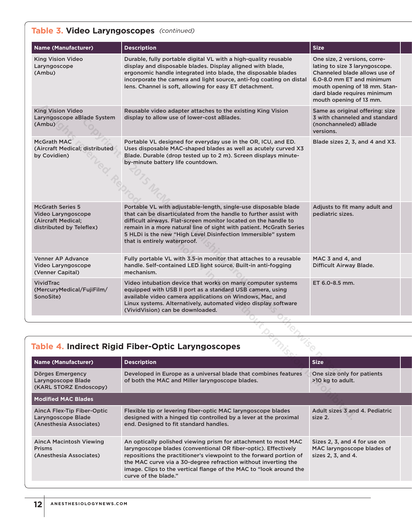### **Table 3. Video Laryngoscopes**  *(continued)*

| <b>Name (Manufacturer)</b>                                                                      | <b>Description</b>                                                                                                                                                                                                                                                                                                                                                              | <b>Size</b>                                                                                                                                                                                                             |  |
|-------------------------------------------------------------------------------------------------|---------------------------------------------------------------------------------------------------------------------------------------------------------------------------------------------------------------------------------------------------------------------------------------------------------------------------------------------------------------------------------|-------------------------------------------------------------------------------------------------------------------------------------------------------------------------------------------------------------------------|--|
| King Vision Video<br>Laryngoscope<br>(Ambu)                                                     | Durable, fully portable digital VL with a high-quality reusable<br>display and disposable blades. Display aligned with blade,<br>ergonomic handle integrated into blade, the disposable blades<br>incorporate the camera and light source, anti-fog coating on distal<br>lens. Channel is soft, allowing for easy ET detachment.                                                | One size, 2 versions, corre-<br>lating to size 3 laryngoscope.<br>Channeled blade allows use of<br>6.0-8.0 mm ET and minimum<br>mouth opening of 18 mm. Stan-<br>dard blade requires minimum<br>mouth opening of 13 mm. |  |
| <b>King Vision Video</b><br>Laryngoscope aBlade System<br>(Ambu)                                | Reusable video adapter attaches to the existing King Vision<br>display to allow use of lower-cost aBlades.                                                                                                                                                                                                                                                                      | Same as original offering: size<br>3 with channeled and standard<br>(nonchanneled) aBlade<br>versions.                                                                                                                  |  |
| McGrath MAC<br>(Aircraft Medical; distributed<br>by Covidien)                                   | Portable VL designed for everyday use in the OR, ICU, and ED.<br>Uses disposable MAC-shaped blades as well as acutely curved X3<br>Blade. Durable (drop tested up to 2 m). Screen displays minute-<br>by-minute battery life countdown.                                                                                                                                         | Blade sizes 2, 3, and 4 and X3.                                                                                                                                                                                         |  |
| <b>McGrath Series 5</b><br>Video Laryngoscope<br>(Aircraft Medical;<br>distributed by Teleflex) | Portable VL with adjustable-length, single-use disposable blade<br>that can be disarticulated from the handle to further assist with<br>difficult airways. Flat-screen monitor located on the handle to<br>remain in a more natural line of sight with patient. McGrath Series<br>5 HLDi is the new "High Level Disinfection Immersible" system<br>that is entirely waterproof. | Adjusts to fit many adult and<br>pediatric sizes.                                                                                                                                                                       |  |
| <b>Venner AP Advance</b><br>Video Laryngoscope<br>(Venner Capital)                              | Fully portable VL with 3.5-in monitor that attaches to a reusable<br>handle. Self-contained LED light source. Built-in anti-fogging<br>mechanism.                                                                                                                                                                                                                               | MAC 3 and 4, and<br>Difficult Airway Blade.                                                                                                                                                                             |  |
| <b>VividTrac</b><br>(MercuryMedical/FujiFilm/<br>SonoSite)                                      | Video intubation device that works on many computer systems<br>equipped with USB II port as a standard USB camera, using<br>available video camera applications on Windows, Mac, and<br>Linux systems. Alternatively, automated video display software<br>(VividVision) can be downloaded.                                                                                      | ET 6.0-8.5 mm.                                                                                                                                                                                                          |  |
|                                                                                                 |                                                                                                                                                                                                                                                                                                                                                                                 |                                                                                                                                                                                                                         |  |
|                                                                                                 | Table 4. Indirect Rigid Fiber-Optic Laryngoscopes                                                                                                                                                                                                                                                                                                                               |                                                                                                                                                                                                                         |  |
| <b>Name (Manufacturer)</b>                                                                      | <b>Description</b>                                                                                                                                                                                                                                                                                                                                                              | <b>Size</b>                                                                                                                                                                                                             |  |
| Dörges Emergency<br>Laryngoscope Blade<br>(KARL STORZ Endoscopy)                                | Developed in Europe as a universal blade that combines features<br>of both the MAC and Miller laryngoscope blades.                                                                                                                                                                                                                                                              | One size only for patients<br>>10 kg to adult.                                                                                                                                                                          |  |
| <b>Modified MAC Blades</b>                                                                      |                                                                                                                                                                                                                                                                                                                                                                                 |                                                                                                                                                                                                                         |  |
| AincA Flex-Tip Fiber-Optic<br>Laryngoscope Blade                                                | Flexible tip or levering fiber-optic MAC laryngoscope blades<br>designed with a hinged tip controlled by a lever at the proximal                                                                                                                                                                                                                                                | Adult sizes 3 and 4. Pediatric<br>size 2.                                                                                                                                                                               |  |

# **Table 4. Indirect Rigid Fiber-Optic Laryngoscopes**

| <b>Name (Manufacturer)</b>                                                  | <b>Description</b>                                                                                                                                                                                                                                                                                                                                                     | <b>Size</b>                                                                      |
|-----------------------------------------------------------------------------|------------------------------------------------------------------------------------------------------------------------------------------------------------------------------------------------------------------------------------------------------------------------------------------------------------------------------------------------------------------------|----------------------------------------------------------------------------------|
| Dörges Emergency<br>Laryngoscope Blade<br>(KARL STORZ Endoscopy)            | Developed in Europe as a universal blade that combines features<br>of both the MAC and Miller laryngoscope blades.                                                                                                                                                                                                                                                     | One size only for patients<br>>10 kg to adult.                                   |
| <b>Modified MAC Blades</b>                                                  |                                                                                                                                                                                                                                                                                                                                                                        |                                                                                  |
| AincA Flex-Tip Fiber-Optic<br>Laryngoscope Blade<br>(Anesthesia Associates) | Flexible tip or levering fiber-optic MAC laryngoscope blades<br>designed with a hinged tip controlled by a lever at the proximal<br>end. Designed to fit standard handles.                                                                                                                                                                                             | Adult sizes 3 and 4. Pediatric<br>size 2.                                        |
| AincA Macintosh Viewing<br><b>Prisms</b><br>(Anesthesia Associates)         | An optically polished viewing prism for attachment to most MAC<br>laryngoscope blades (conventional OR fiber-optic). Effectively<br>repositions the practitioner's viewpoint to the forward portion of<br>the MAC curve via a 30-degree refraction without inverting the<br>image. Clips to the vertical flange of the MAC to "look around the<br>curve of the blade." | Sizes 2, 3, and 4 for use on<br>MAC laryngoscope blades of<br>sizes 2, 3, and 4. |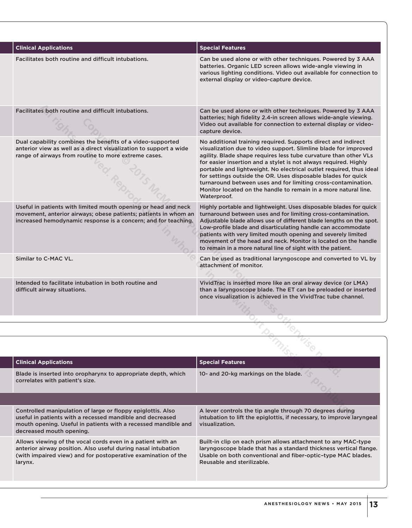| <b>Clinical Applications</b>                                                                                                                                                                        | <b>Special Features</b>                                                                                                                                                                                                                                                                                                                                                                                                                                                                                                                                             |
|-----------------------------------------------------------------------------------------------------------------------------------------------------------------------------------------------------|---------------------------------------------------------------------------------------------------------------------------------------------------------------------------------------------------------------------------------------------------------------------------------------------------------------------------------------------------------------------------------------------------------------------------------------------------------------------------------------------------------------------------------------------------------------------|
| Facilitates both routine and difficult intubations.                                                                                                                                                 | Can be used alone or with other techniques. Powered by 3 AAA<br>batteries. Organic LED screen allows wide-angle viewing in<br>various lighting conditions. Video out available for connection to<br>external display or video-capture device.                                                                                                                                                                                                                                                                                                                       |
| Facilitates both routine and difficult intubations.                                                                                                                                                 | Can be used alone or with other techniques. Powered by 3 AAA<br>batteries; high fidelity 2.4-in screen allows wide-angle viewing.<br>Video out available for connection to external display or video-<br>capture device.                                                                                                                                                                                                                                                                                                                                            |
| Dual capability combines the benefits of a video-supported<br>anterior view as well as a direct visualization to support a wide<br>range of airways from routine to more extreme cases.             | No additional training required. Supports direct and indirect<br>visualization due to video support. Slimline blade for improved<br>agility. Blade shape requires less tube curvature than other VLs<br>for easier insertion and a stylet is not always required. Highly<br>portable and lightweight. No electrical outlet required, thus ideal<br>for settings outside the OR. Uses disposable blades for quick<br>turnaround between uses and for limiting cross-contamination.<br>Monitor located on the handle to remain in a more natural line.<br>Waterproof. |
| Useful in patients with limited mouth opening or head and neck<br>movement, anterior airways; obese patients; patients in whom an<br>increased hemodynamic response is a concern; and for teaching. | Highly portable and lightweight. Uses disposable blades for quick<br>turnaround between uses and for limiting cross-contamination.<br>Adjustable blade allows use of different blade lengths on the spot.<br>Low-profile blade and disarticulating handle can accommodate<br>patients with very limited mouth opening and severely limited<br>movement of the head and neck. Monitor is located on the handle<br>to remain in a more natural line of sight with the patient.                                                                                        |
| Similar to C-MAC VL.                                                                                                                                                                                | Can be used as traditional laryngoscope and converted to VL by<br>attachment of monitor.                                                                                                                                                                                                                                                                                                                                                                                                                                                                            |
| Intended to facilitate intubation in both routine and<br>difficult airway situations.                                                                                                               | VividTrac is inserted more like an oral airway device (or LMA)<br>than a laryngoscope blade. The ET can be preloaded or inserted<br>once visualization is achieved in the VividTrac tube channel.                                                                                                                                                                                                                                                                                                                                                                   |
|                                                                                                                                                                                                     |                                                                                                                                                                                                                                                                                                                                                                                                                                                                                                                                                                     |
|                                                                                                                                                                                                     |                                                                                                                                                                                                                                                                                                                                                                                                                                                                                                                                                                     |
|                                                                                                                                                                                                     |                                                                                                                                                                                                                                                                                                                                                                                                                                                                                                                                                                     |
| <b>Clinical Applications</b>                                                                                                                                                                        | <b>Special Features</b>                                                                                                                                                                                                                                                                                                                                                                                                                                                                                                                                             |
| Blade is inserted into oropharynx to appropriate depth, which<br>correlates with patient's size.                                                                                                    | 10- and 20-kg markings on the blade.                                                                                                                                                                                                                                                                                                                                                                                                                                                                                                                                |
|                                                                                                                                                                                                     |                                                                                                                                                                                                                                                                                                                                                                                                                                                                                                                                                                     |
| Controlled manipulation of large or floppy epiglottis. Also<br>useful in patients with a recessed mandible and decreased                                                                            | A lever controls the tip angle through 70 degrees during<br>intubation to lift the epiglottis, if necessary, to improve laryngeal                                                                                                                                                                                                                                                                                                                                                                                                                                   |

| <b>Clinical Applications</b>                                                                                                                                                                                           | <b>Special Features</b>                                                                                                                                                                                                          |
|------------------------------------------------------------------------------------------------------------------------------------------------------------------------------------------------------------------------|----------------------------------------------------------------------------------------------------------------------------------------------------------------------------------------------------------------------------------|
| Blade is inserted into oropharynx to appropriate depth, which<br>correlates with patient's size.                                                                                                                       | 10- and 20-kg markings on the blade.                                                                                                                                                                                             |
|                                                                                                                                                                                                                        |                                                                                                                                                                                                                                  |
| Controlled manipulation of large or floppy epiglottis. Also<br>useful in patients with a recessed mandible and decreased<br>mouth opening. Useful in patients with a recessed mandible and<br>decreased mouth opening. | A lever controls the tip angle through 70 degrees during<br>intubation to lift the epiglottis, if necessary, to improve laryngeal<br>visualization.                                                                              |
| Allows viewing of the vocal cords even in a patient with an<br>anterior airway position. Also useful during nasal intubation<br>(with impaired view) and for postoperative examination of the<br>larynx.               | Built-in clip on each prism allows attachment to any MAC-type<br>laryngoscope blade that has a standard thickness vertical flange.<br>Usable on both conventional and fiber-optic-type MAC blades.<br>Reusable and sterilizable. |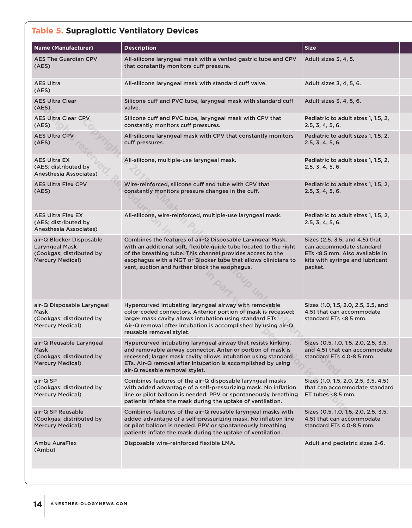# **Table 5. Supraglottic Ventilatory Devices**

| <b>Name (Manufacturer)</b>                                                                        | <b>Description</b>                                                                                                                                                                                                                                                                                               | <b>Size</b>                                                                                                                                |
|---------------------------------------------------------------------------------------------------|------------------------------------------------------------------------------------------------------------------------------------------------------------------------------------------------------------------------------------------------------------------------------------------------------------------|--------------------------------------------------------------------------------------------------------------------------------------------|
| <b>AES The Guardian CPV</b><br>(AES)                                                              | All-silicone laryngeal mask with a vented gastric tube and CPV<br>that constantly monitors cuff pressure.                                                                                                                                                                                                        | Adult sizes 3, 4, 5.                                                                                                                       |
| <b>AES Ultra</b><br>(AES)                                                                         | All-silicone laryngeal mask with standard cuff valve.                                                                                                                                                                                                                                                            | Adult sizes 3, 4, 5, 6.                                                                                                                    |
| <b>AES Ultra Clear</b><br>(AES)                                                                   | Silicone cuff and PVC tube, laryngeal mask with standard cuff<br>valve.                                                                                                                                                                                                                                          | Adult sizes 3, 4, 5, 6.                                                                                                                    |
| <b>AES Ultra Clear CPV</b><br>(AES)                                                               | Silicone cuff and PVC tube, laryngeal mask with CPV that<br>constantly monitors cuff pressures.                                                                                                                                                                                                                  | Pediatric to adult sizes 1, 1.5, 2,<br>2.5, 3, 4, 5, 6.                                                                                    |
| <b>AES Ultra CPV</b><br>(AES)                                                                     | All-silicone laryngeal mask with CPV that constantly monitors<br>cuff pressures.                                                                                                                                                                                                                                 | Pediatric to adult sizes 1, 1.5, 2,<br>2.5, 3, 4, 5, 6.                                                                                    |
| <b>AES Ultra EX</b><br>(AES; distributed by<br><b>Anesthesia Associates)</b>                      | All-silicone, multiple-use laryngeal mask.                                                                                                                                                                                                                                                                       | Pediatric to adult sizes 1, 1.5, 2,<br>2.5, 3, 4, 5, 6.                                                                                    |
| <b>AES Ultra Flex CPV</b><br>(AES)                                                                | Wire-reinforced, silicone cuff and tube with CPV that<br>constantly monitors pressure changes in the cuff.                                                                                                                                                                                                       | Pediatric to adult sizes 1, 1.5, 2,<br>2.5, 3, 4, 5, 6.                                                                                    |
| <b>AES Ultra Flex EX</b><br>(AES; distributed by<br><b>Anesthesia Associates)</b>                 | All-silicone, wire-reinforced, multiple-use laryngeal mask.                                                                                                                                                                                                                                                      | Pediatric to adult sizes 1, 1.5, 2,<br>2.5, 3, 4, 5, 6.                                                                                    |
| air-Q Blocker Disposable<br>Laryngeal Mask<br>(Cookgas; distributed by<br><b>Mercury Medical)</b> | Combines the features of air-Q Disposable Laryngeal Mask,<br>with an additional soft, flexible guide tube located to the right<br>of the breathing tube. This channel provides access to the<br>esophagus with a NGT or Blocker tube that allows clinicians to<br>vent, suction and further block the esophagus. | Sizes (2.5, 3.5, and 4.5) that<br>can accommodate standard<br>ETs ≤8.5 mm. Also available in<br>kits with syringe and lubricant<br>packet. |
| air-Q Disposable Laryngeal<br>Mask<br>(Cookgas; distributed by<br><b>Mercury Medical)</b>         | Hypercurved intubating laryngeal airway with removable<br>color-coded connectors. Anterior portion of mask is recessed;<br>larger mask cavity allows intubation using standard ETs.<br>Air-Q removal after intubation is accomplished by using air-Q<br>reusable removal stylet.                                 | Sizes (1.0, 1.5, 2.0, 2.5, 3.5, and<br>4.5) that can accommodate<br>standard ETs $\leq 8.5$ mm.                                            |
| air-Q Reusable Laryngeal<br>Mask<br>(Cookgas; distributed by<br><b>Mercury Medical)</b>           | Hypercurved intubating laryngeal airway that resists kinking,<br>and removable airway connector. Anterior portion of mask is<br>recessed; larger mask cavity allows intubation using standard<br>ETs. Air-Q removal after intubation is accomplished by using<br>air-Q reusable removal stylet.                  | Sizes (0.5, 1.0, 1.5, 2.0, 2.5, 3.5,<br>and 4.5) that can accommodate<br>standard ETs 4.0-8.5 mm.                                          |
| air-Q SP<br>(Cookgas; distributed by<br><b>Mercury Medical)</b>                                   | Combines features of the air-Q disposable laryngeal masks<br>with added advantage of a self-pressurizing mask. No inflation<br>line or pilot balloon is needed. PPV or spontaneously breathing<br>patients inflate the mask during the uptake of ventilation.                                                    | Sizes (1.0, 1.5, 2.0, 2.5, 3.5, 4.5)<br>that can accommodate standard<br>ET tubes $\leq 8.5$ mm.                                           |
| air-Q SP Reusable<br>(Cookgas; distributed by<br><b>Mercury Medical)</b>                          | Combines features of the air-Q reusable laryngeal masks with<br>added advantage of a self-pressurizing mask. No inflation line<br>or pilot balloon is needed. PPV or spontaneously breathing<br>patients inflate the mask during the uptake of ventilation.                                                      | Sizes (0.5, 1.0, 1.5, 2.0, 2.5, 3.5,<br>4.5) that can accommodate<br>standard ETs 4.0-8.5 mm.                                              |
| Ambu AuraFlex<br>(Ambu)                                                                           | Disposable wire-reinforced flexible LMA.                                                                                                                                                                                                                                                                         | Adult and pediatric sizes 2-6.                                                                                                             |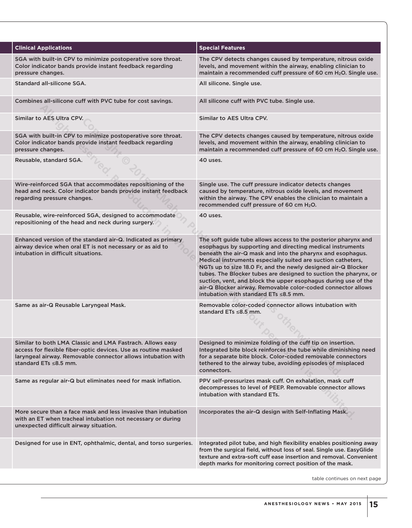| <b>Clinical Applications</b>                                                                                                                                                                                               | <b>Special Features</b>                                                                                                                                                                                                                                                                                                                                                                                                                                                                                                                                                         |
|----------------------------------------------------------------------------------------------------------------------------------------------------------------------------------------------------------------------------|---------------------------------------------------------------------------------------------------------------------------------------------------------------------------------------------------------------------------------------------------------------------------------------------------------------------------------------------------------------------------------------------------------------------------------------------------------------------------------------------------------------------------------------------------------------------------------|
| SGA with built-in CPV to minimize postoperative sore throat.<br>Color indicator bands provide instant feedback regarding<br>pressure changes.                                                                              | The CPV detects changes caused by temperature, nitrous oxide<br>levels, and movement within the airway, enabling clinician to<br>maintain a recommended cuff pressure of 60 cm H <sub>2</sub> O. Single use.                                                                                                                                                                                                                                                                                                                                                                    |
| Standard all-silicone SGA.                                                                                                                                                                                                 | All silicone. Single use.                                                                                                                                                                                                                                                                                                                                                                                                                                                                                                                                                       |
| Combines all-silicone cuff with PVC tube for cost savings.                                                                                                                                                                 | All silicone cuff with PVC tube. Single use.                                                                                                                                                                                                                                                                                                                                                                                                                                                                                                                                    |
| Similar to AES Ultra CPV.                                                                                                                                                                                                  | Similar to AES Ultra CPV.                                                                                                                                                                                                                                                                                                                                                                                                                                                                                                                                                       |
| SGA with built-in CPV to minimize postoperative sore throat.<br>Color indicator bands provide instant feedback regarding<br>pressure changes.                                                                              | The CPV detects changes caused by temperature, nitrous oxide<br>levels, and movement within the airway, enabling clinician to<br>maintain a recommended cuff pressure of 60 cm H <sub>2</sub> O. Single use.                                                                                                                                                                                                                                                                                                                                                                    |
| Reusable, standard SGA.                                                                                                                                                                                                    | 40 uses.                                                                                                                                                                                                                                                                                                                                                                                                                                                                                                                                                                        |
| Wire-reinforced SGA that accommodates repositioning of the<br>head and neck. Color indicator bands provide instant feedback<br>regarding pressure changes.                                                                 | Single use. The cuff pressure indicator detects changes<br>caused by temperature, nitrous oxide levels, and movement<br>within the airway. The CPV enables the clinician to maintain a<br>recommended cuff pressure of 60 cm H <sub>2</sub> O.                                                                                                                                                                                                                                                                                                                                  |
| Reusable, wire-reinforced SGA, designed to accommodate<br>repositioning of the head and neck during surgery.                                                                                                               | 40 uses.                                                                                                                                                                                                                                                                                                                                                                                                                                                                                                                                                                        |
| Enhanced version of the standard air-Q. Indicated as primary<br>airway device when oral ET is not necessary or as aid to<br>intubation in difficult situations.                                                            | The soft guide tube allows access to the posterior pharynx and<br>esophagus by supporting and directing medical instruments<br>beneath the air-Q mask and into the pharynx and esophagus.<br>Medical instruments especially suited are suction catheters,<br>NGTs up to size 18.0 Fr, and the newly designed air-Q Blocker<br>tubes. The Blocker tubes are designed to suction the pharynx, or<br>suction, vent, and block the upper esophagus during use of the<br>air-Q Blocker airway. Removable color-coded connector allows<br>intubation with standard $ETs \leq 8.5$ mm. |
| Same as air-Q Reusable Laryngeal Mask.                                                                                                                                                                                     | Removable color-coded connector allows intubation with<br>standard ETs ≤8.5 mm.                                                                                                                                                                                                                                                                                                                                                                                                                                                                                                 |
| Similar to both LMA Classic and LMA Fastrach. Allows easy<br>access for flexible fiber-optic devices. Use as routine masked<br>laryngeal airway. Removable connector allows intubation with<br>standard ETs $\leq 8.5$ mm. | Designed to minimize folding of the cuff tip on insertion.<br>Integrated bite block reinforces the tube while diminishing need<br>for a separate bite block. Color-coded removable connectors<br>tethered to the airway tube, avoiding episodes of misplaced<br>connectors.                                                                                                                                                                                                                                                                                                     |
| Same as regular air-Q but eliminates need for mask inflation.                                                                                                                                                              | PPV self-pressurizes mask cuff. On exhalation, mask cuff<br>decompresses to level of PEEP. Removable connector allows<br>intubation with standard ETs.                                                                                                                                                                                                                                                                                                                                                                                                                          |
| More secure than a face mask and less invasive than intubation<br>with an ET when tracheal intubation not necessary or during<br>unexpected difficult airway situation.                                                    | Incorporates the air-Q design with Self-Inflating Mask.                                                                                                                                                                                                                                                                                                                                                                                                                                                                                                                         |
| Designed for use in ENT, ophthalmic, dental, and torso surgeries.                                                                                                                                                          | Integrated pilot tube, and high flexibility enables positioning away<br>from the surgical field, without loss of seal. Single use. EasyGlide<br>texture and extra-soft cuff ease insertion and removal. Convenient<br>depth marks for monitoring correct position of the mask.                                                                                                                                                                                                                                                                                                  |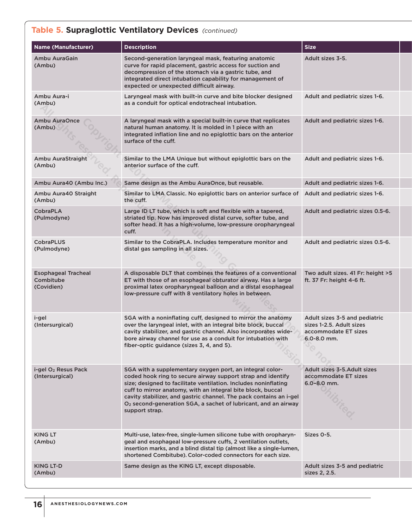### **Table 5. Supraglottic Ventilatory Devices** (continued) *(continued)*

| <b>Name (Manufacturer)</b>                            | <b>Description</b>                                                                                                                                                                                                                                                                                                                                                                                                              | <b>Size</b>                                                                                          |
|-------------------------------------------------------|---------------------------------------------------------------------------------------------------------------------------------------------------------------------------------------------------------------------------------------------------------------------------------------------------------------------------------------------------------------------------------------------------------------------------------|------------------------------------------------------------------------------------------------------|
| Ambu AuraGain<br>(Ambu)                               | Second-generation laryngeal mask, featuring anatomic<br>curve for rapid placement, gastric access for suction and<br>decompression of the stomach via a gastric tube, and<br>integrated direct intubation capability for management of<br>expected or unexpected difficult airway.                                                                                                                                              | Adult sizes 3-5.                                                                                     |
| Ambu Aura-i<br>(Ambu)                                 | Laryngeal mask with built-in curve and bite blocker designed<br>as a conduit for optical endotracheal intubation.                                                                                                                                                                                                                                                                                                               | Adult and pediatric sizes 1-6.                                                                       |
| Ambu AuraOnce<br>(Ambu)                               | A laryngeal mask with a special built-in curve that replicates<br>natural human anatomy. It is molded in 1 piece with an<br>integrated inflation line and no epiglottic bars on the anterior<br>surface of the cuff.                                                                                                                                                                                                            | Adult and pediatric sizes 1-6.                                                                       |
| Ambu AuraStraight<br>(Ambu)                           | Similar to the LMA Unique but without epiglottic bars on the<br>anterior surface of the cuff.                                                                                                                                                                                                                                                                                                                                   | Adult and pediatric sizes 1-6.                                                                       |
| Ambu Aura40 (Ambu Inc.)                               | Same design as the Ambu AuraOnce, but reusable.                                                                                                                                                                                                                                                                                                                                                                                 | Adult and pediatric sizes 1-6.                                                                       |
| Ambu Aura40 Straight<br>(Ambu)                        | Similar to LMA Classic. No epiglottic bars on anterior surface of<br>the cuff.                                                                                                                                                                                                                                                                                                                                                  | Adult and pediatric sizes 1-6.                                                                       |
| <b>CobraPLA</b><br>(Pulmodyne)                        | Large ID LT tube, which is soft and flexible with a tapered,<br>striated tip. Now has improved distal curve, softer tube, and<br>softer head. It has a high-volume, low-pressure oropharyngeal<br>cuff.                                                                                                                                                                                                                         | Adult and pediatric sizes 0.5-6.                                                                     |
| <b>CobraPLUS</b><br>(Pulmodyne)                       | Similar to the CobraPLA. Includes temperature monitor and<br>distal gas sampling in all sizes.                                                                                                                                                                                                                                                                                                                                  | Adult and pediatric sizes 0.5-6.                                                                     |
| <b>Esophageal Tracheal</b><br>Combitube<br>(Covidien) | A disposable DLT that combines the features of a conventional<br>ET with those of an esophageal obturator airway. Has a large<br>proximal latex oropharyngeal balloon and a distal esophageal<br>low-pressure cuff with 8 ventilatory holes in between.                                                                                                                                                                         | Two adult sizes. 41 Fr: height >5<br>ft. 37 Fr: height 4-6 ft.                                       |
| i-gel<br>(Intersurgical)                              | SGA with a noninflating cuff, designed to mirror the anatomy<br>over the laryngeal inlet, with an integral bite block, buccal<br>cavity stabilizer, and gastric channel. Also incorporates wide-<br>bore airway channel for use as a conduit for intubation with<br>fiber-optic guidance (sizes 3, 4, and 5).                                                                                                                   | Adult sizes 3-5 and pediatric<br>sizes 1-2.5. Adult sizes<br>accommodate ET sizes<br>$6.0 - 8.0$ mm. |
| i-gel O <sub>2</sub> Resus Pack<br>(Intersurgical)    | SGA with a supplementary oxygen port, an integral color-<br>coded hook ring to secure airway support strap and identify<br>size; designed to facilitate ventilation. Includes noninflating<br>cuff to mirror anatomy, with an integral bite block, buccal<br>cavity stabilizer, and gastric channel. The pack contains an i-gel<br>O <sub>2</sub> second-generation SGA, a sachet of lubricant, and an airway<br>support strap. | Adult sizes 3-5. Adult sizes<br>accommodate ET sizes<br>$6.0 - 8.0$ mm.                              |
| <b>KING LT</b><br>(Ambu)                              | Multi-use, latex-free, single-lumen silicone tube with oropharyn-<br>geal and esophageal low-pressure cuffs, 2 ventilation outlets,<br>insertion marks, and a blind distal tip (almost like a single-lumen,<br>shortened Combitube). Color-coded connectors for each size.                                                                                                                                                      | Sizes 0-5.                                                                                           |
| KING LT-D<br>(Ambu)                                   | Same design as the KING LT, except disposable.                                                                                                                                                                                                                                                                                                                                                                                  | Adult sizes 3-5 and pediatric<br>sizes 2, 2.5.                                                       |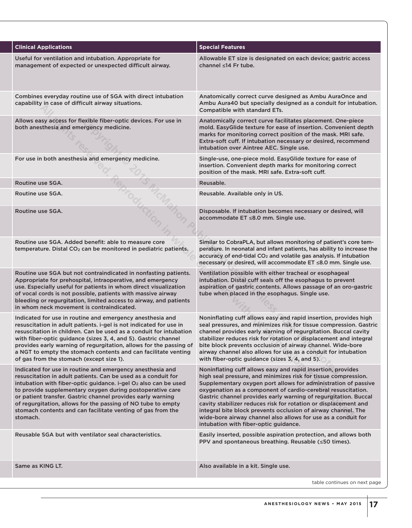| <b>Clinical Applications</b>                                                                                                                                                                                                                                                                                                                                                                                                                                                     | <b>Special Features</b>                                                                                                                                                                                                                                                                                                                                                                                                                                                                                                                                                          |
|----------------------------------------------------------------------------------------------------------------------------------------------------------------------------------------------------------------------------------------------------------------------------------------------------------------------------------------------------------------------------------------------------------------------------------------------------------------------------------|----------------------------------------------------------------------------------------------------------------------------------------------------------------------------------------------------------------------------------------------------------------------------------------------------------------------------------------------------------------------------------------------------------------------------------------------------------------------------------------------------------------------------------------------------------------------------------|
| Useful for ventilation and intubation. Appropriate for<br>management of expected or unexpected difficult airway.                                                                                                                                                                                                                                                                                                                                                                 | Allowable ET size is designated on each device; gastric access<br>channel ≤14 Fr tube.                                                                                                                                                                                                                                                                                                                                                                                                                                                                                           |
| Combines everyday routine use of SGA with direct intubation<br>capability in case of difficult airway situations.                                                                                                                                                                                                                                                                                                                                                                | Anatomically correct curve designed as Ambu AuraOnce and<br>Ambu Aura40 but specially designed as a conduit for intubation.<br>Compatible with standard ETs.                                                                                                                                                                                                                                                                                                                                                                                                                     |
| Allows easy access for flexible fiber-optic devices. For use in<br>both anesthesia and emergency medicine.                                                                                                                                                                                                                                                                                                                                                                       | Anatomically correct curve facilitates placement. One-piece<br>mold. EasyGlide texture for ease of insertion. Convenient depth<br>marks for monitoring correct position of the mask. MRI safe.<br>Extra-soft cuff. If intubation necessary or desired, recommend<br>intubation over Aintree AEC. Single use.                                                                                                                                                                                                                                                                     |
| For use in both anesthesia and emergency medicine.                                                                                                                                                                                                                                                                                                                                                                                                                               | Single-use, one-piece mold. EasyGlide texture for ease of<br>insertion. Convenient depth marks for monitoring correct<br>position of the mask. MRI safe. Extra-soft cuff.                                                                                                                                                                                                                                                                                                                                                                                                        |
| Routine use SGA.                                                                                                                                                                                                                                                                                                                                                                                                                                                                 | Reusable.                                                                                                                                                                                                                                                                                                                                                                                                                                                                                                                                                                        |
| Routine use SGA.                                                                                                                                                                                                                                                                                                                                                                                                                                                                 | Reusable. Available only in US.                                                                                                                                                                                                                                                                                                                                                                                                                                                                                                                                                  |
| Routine use SGA.                                                                                                                                                                                                                                                                                                                                                                                                                                                                 | Disposable. If intubation becomes necessary or desired, will<br>accommodate ET ≤8.0 mm. Single use.                                                                                                                                                                                                                                                                                                                                                                                                                                                                              |
| Routine use SGA, Added benefit: able to measure core<br>temperature. Distal CO <sub>2</sub> can be monitored in pediatric patients.                                                                                                                                                                                                                                                                                                                                              | Similar to CobraPLA, but allows monitoring of patient's core tem-<br>perature. In neonatal and infant patients, has ability to increase the<br>accuracy of end-tidal CO <sub>2</sub> and volatile gas analysis. If intubation<br>necessary or desired, will accommodate ET ≤8.0 mm. Single use.                                                                                                                                                                                                                                                                                  |
| Routine use SGA but not contraindicated in nonfasting patients.<br>Appropriate for prehospital, intraoperative, and emergency<br>use. Especially useful for patients in whom direct visualization<br>of vocal cords is not possible, patients with massive airway<br>bleeding or regurgitation, limited access to airway, and patients<br>in whom neck movement is contraindicated.                                                                                              | Ventilation possible with either tracheal or esophageal<br>intubation. Distal cuff seals off the esophagus to prevent<br>aspiration of gastric contents. Allows passage of an oro-gastric<br>tube when placed in the esophagus. Single use.                                                                                                                                                                                                                                                                                                                                      |
| Indicated for use in routine and emergency anesthesia and<br>resuscitation in adult patients. i-gel is not indicated for use in<br>resuscitation in children. Can be used as a conduit for intubation<br>with fiber-optic guidance (sizes 3, 4, and 5). Gastric channel<br>provides early warning of regurgitation, allows for the passing of<br>a NGT to empty the stomach contents and can facilitate venting<br>of gas from the stomach (except size 1).                      | Noninflating cuff allows easy and rapid insertion, provides high<br>seal pressures, and minimizes risk for tissue compression. Gastric<br>channel provides early warning of regurgitation. Buccal cavity<br>stabilizer reduces risk for rotation or displacement and integral<br>bite block prevents occlusion of airway channel. Wide-bore<br>airway channel also allows for use as a conduit for intubation<br>with fiber-optic guidance (sizes 3, 4, and 5).                                                                                                                  |
| Indicated for use in routine and emergency anesthesia and<br>resuscitation in adult patients. Can be used as a conduit for<br>intubation with fiber-optic guidance. i-gel O <sub>2</sub> also can be used<br>to provide supplementary oxygen during postoperative care<br>or patient transfer. Gastric channel provides early warning<br>of regurgitation, allows for the passing of NO tube to empty<br>stomach contents and can facilitate venting of gas from the<br>stomach. | Noninflating cuff allows easy and rapid insertion, provides<br>high seal pressure, and minimizes risk for tissue compression.<br>Supplementary oxygen port allows for administration of passive<br>oxygenation as a component of cardio-cerebral resuscitation.<br>Gastric channel provides early warning of regurgitation. Buccal<br>cavity stabilizer reduces risk for rotation or displacement and<br>integral bite block prevents occlusion of airway channel. The<br>wide-bore airway channel also allows for use as a conduit for<br>intubation with fiber-optic guidance. |
| Reusable SGA but with ventilator seal characteristics.                                                                                                                                                                                                                                                                                                                                                                                                                           | Easily inserted, possible aspiration protection, and allows both<br>PPV and spontaneous breathing. Reusable (≤50 times).                                                                                                                                                                                                                                                                                                                                                                                                                                                         |
| Same as KING LT.                                                                                                                                                                                                                                                                                                                                                                                                                                                                 | Also available in a kit. Single use.                                                                                                                                                                                                                                                                                                                                                                                                                                                                                                                                             |
|                                                                                                                                                                                                                                                                                                                                                                                                                                                                                  | table continues on next page                                                                                                                                                                                                                                                                                                                                                                                                                                                                                                                                                     |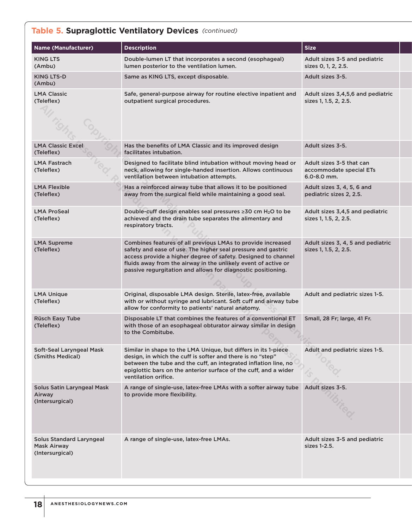### **Table 5. Supraglottic Ventilatory Devices** (continued) *(continued)*

| <b>Name (Manufacturer)</b>                                        | <b>Description</b>                                                                                                                                                                                                                                                                                                             | <b>Size</b>                                                        |
|-------------------------------------------------------------------|--------------------------------------------------------------------------------------------------------------------------------------------------------------------------------------------------------------------------------------------------------------------------------------------------------------------------------|--------------------------------------------------------------------|
| <b>KING LTS</b><br>(Ambu)                                         | Double-lumen LT that incorporates a second (esophageal)<br>lumen posterior to the ventilation lumen.                                                                                                                                                                                                                           | Adult sizes 3-5 and pediatric<br>sizes 0, 1, 2, 2.5.               |
| <b>KING LTS-D</b><br>(Ambu)                                       | Same as KING LTS, except disposable.                                                                                                                                                                                                                                                                                           | Adult sizes 3-5.                                                   |
| <b>LMA Classic</b><br>(Teleflex)                                  | Safe, general-purpose airway for routine elective inpatient and<br>outpatient surgical procedures.                                                                                                                                                                                                                             | Adult sizes 3,4,5,6 and pediatric<br>sizes 1, 1.5, 2, 2.5.         |
| <b>LMA Classic Excel</b><br>(Teleflex)                            | Has the benefits of LMA Classic and its improved design<br>facilitates intubation.                                                                                                                                                                                                                                             | Adult sizes 3-5.                                                   |
| LMA Fastrach<br>(Teleflex)                                        | Designed to facilitate blind intubation without moving head or<br>neck, allowing for single-handed insertion. Allows continuous<br>ventilation between intubation attempts.                                                                                                                                                    | Adult sizes 3-5 that can<br>accommodate special ETs<br>6.0-8.0 mm. |
| <b>LMA Flexible</b><br>(Teleflex)                                 | Has a reinforced airway tube that allows it to be positioned<br>away from the surgical field while maintaining a good seal.                                                                                                                                                                                                    | Adult sizes 3, 4, 5, 6 and<br>pediatric sizes 2, 2.5.              |
| <b>LMA ProSeal</b><br>(Teleflex)                                  | Double-cuff design enables seal pressures ≥30 cm H <sub>2</sub> O to be<br>achieved and the drain tube separates the alimentary and<br>respiratory tracts.                                                                                                                                                                     | Adult sizes 3,4,5 and pediatric<br>sizes 1, 1.5, 2, 2.5.           |
| <b>LMA Supreme</b><br>(Teleflex)                                  | Combines features of all previous LMAs to provide increased<br>safety and ease of use. The higher seal pressure and gastric<br>access provide a higher degree of safety. Designed to channel<br>fluids away from the airway in the unlikely event of active or<br>passive regurgitation and allows for diagnostic positioning. | Adult sizes 3, 4, 5 and pediatric<br>sizes 1, 1.5, 2, 2.5.         |
| <b>LMA Unique</b><br>(Teleflex)                                   | Original, disposable LMA design. Sterile, latex-free, available<br>with or without syringe and lubricant. Soft cuff and airway tube<br>allow for conformity to patients' natural anatomy.                                                                                                                                      | Adult and pediatric sizes 1-5.                                     |
| <b>Rüsch Easy Tube</b><br>(Teleflex)                              | Disposable LT that combines the features of a conventional ET<br>with those of an esophageal obturator airway similar in design<br>to the Combitube.                                                                                                                                                                           | Small, 28 Fr; large, 41 Fr.                                        |
| Soft-Seal Laryngeal Mask<br>(Smiths Medical)                      | Similar in shape to the LMA Unique, but differs in its 1-piece<br>design, in which the cuff is softer and there is no "step"<br>between the tube and the cuff, an integrated inflation line, no<br>epiglottic bars on the anterior surface of the cuff, and a wider<br>ventilation orifice.                                    | Adult and pediatric sizes 1-5.                                     |
| Solus Satin Laryngeal Mask<br>Airway<br>(Intersurgical)           | A range of single-use, latex-free LMAs with a softer airway tube<br>to provide more flexibility.                                                                                                                                                                                                                               | Adult sizes 3-5.                                                   |
| <b>Solus Standard Laryngeal</b><br>Mask Airway<br>(Intersurgical) | A range of single-use, latex-free LMAs.                                                                                                                                                                                                                                                                                        | Adult sizes 3-5 and pediatric<br>sizes 1-2.5.                      |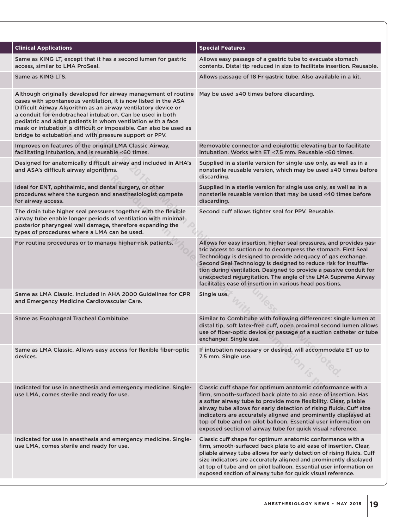| <b>Clinical Applications</b>                                                                                                                                                                                                                                                                                                                                                                                                                                     | <b>Special Features</b>                                                                                                                                                                                                                                                                                                                                                                                                                                                     |
|------------------------------------------------------------------------------------------------------------------------------------------------------------------------------------------------------------------------------------------------------------------------------------------------------------------------------------------------------------------------------------------------------------------------------------------------------------------|-----------------------------------------------------------------------------------------------------------------------------------------------------------------------------------------------------------------------------------------------------------------------------------------------------------------------------------------------------------------------------------------------------------------------------------------------------------------------------|
| Same as KING LT, except that it has a second lumen for gastric<br>access, similar to LMA ProSeal.                                                                                                                                                                                                                                                                                                                                                                | Allows easy passage of a gastric tube to evacuate stomach<br>contents. Distal tip reduced in size to facilitate insertion. Reusable.                                                                                                                                                                                                                                                                                                                                        |
| Same as KING LTS.                                                                                                                                                                                                                                                                                                                                                                                                                                                | Allows passage of 18 Fr gastric tube. Also available in a kit.                                                                                                                                                                                                                                                                                                                                                                                                              |
| Although originally developed for airway management of routine<br>cases with spontaneous ventilation, it is now listed in the ASA<br>Difficult Airway Algorithm as an airway ventilatory device or<br>a conduit for endotracheal intubation. Can be used in both<br>pediatric and adult patients in whom ventilation with a face<br>mask or intubation is difficult or impossible. Can also be used as<br>bridge to extubation and with pressure support or PPV. | May be used ≤40 times before discarding.                                                                                                                                                                                                                                                                                                                                                                                                                                    |
| Improves on features of the original LMA Classic Airway,<br>facilitating intubation, and is reusable ≤60 times.                                                                                                                                                                                                                                                                                                                                                  | Removable connector and epiglottic elevating bar to facilitate<br>intubation. Works with ET ≤7.5 mm. Reusable ≤60 times.                                                                                                                                                                                                                                                                                                                                                    |
| Designed for anatomically difficult airway and included in AHA's<br>and ASA's difficult airway algorithms.                                                                                                                                                                                                                                                                                                                                                       | Supplied in a sterile version for single-use only, as well as in a<br>nonsterile reusable version, which may be used ≤40 times before<br>discarding.                                                                                                                                                                                                                                                                                                                        |
| Ideal for ENT, ophthalmic, and dental surgery, or other<br>procedures where the surgeon and anesthesiologist compete<br>for airway access.                                                                                                                                                                                                                                                                                                                       | Supplied in a sterile version for single use only, as well as in a<br>nonsterile reusable version that may be used ≤40 times before<br>discarding.                                                                                                                                                                                                                                                                                                                          |
| The drain tube higher seal pressures together with the flexible<br>airway tube enable longer periods of ventilation with minimal<br>posterior pharyngeal wall damage, therefore expanding the<br>types of procedures where a LMA can be used.                                                                                                                                                                                                                    | Second cuff allows tighter seal for PPV. Reusable.                                                                                                                                                                                                                                                                                                                                                                                                                          |
| For routine procedures or to manage higher-risk patients.                                                                                                                                                                                                                                                                                                                                                                                                        | Allows for easy insertion, higher seal pressures, and provides gas-<br>tric access to suction or to decompress the stomach. First Seal<br>Technology is designed to provide adequacy of gas exchange.<br>Second Seal Technology is designed to reduce risk for insuffla-<br>tion during ventilation. Designed to provide a passive conduit for<br>unexpected regurgitation. The angle of the LMA Supreme Airway<br>facilitates ease of insertion in various head positions. |
| Same as LMA Classic, Included in AHA 2000 Guidelines for CPR<br>and Emergency Medicine Cardiovascular Care.                                                                                                                                                                                                                                                                                                                                                      | Single use.                                                                                                                                                                                                                                                                                                                                                                                                                                                                 |
| Same as Esophageal Tracheal Combitube.                                                                                                                                                                                                                                                                                                                                                                                                                           | Similar to Combitube with following differences: single lumen at<br>distal tip, soft latex-free cuff, open proximal second lumen allows<br>use of fiber-optic device or passage of a suction catheter or tube<br>exchanger. Single use.                                                                                                                                                                                                                                     |
| Same as LMA Classic. Allows easy access for flexible fiber-optic<br>devices.                                                                                                                                                                                                                                                                                                                                                                                     | If intubation necessary or desired, will accommodate ET up to<br>7.5 mm. Single use.                                                                                                                                                                                                                                                                                                                                                                                        |
| Indicated for use in anesthesia and emergency medicine. Single-<br>use LMA, comes sterile and ready for use.                                                                                                                                                                                                                                                                                                                                                     | Classic cuff shape for optimum anatomic conformance with a<br>firm, smooth-surfaced back plate to aid ease of insertion. Has<br>a softer airway tube to provide more flexibility. Clear, pliable<br>airway tube allows for early detection of rising fluids. Cuff size<br>indicators are accurately aligned and prominently displayed at<br>top of tube and on pilot balloon. Essential user information on<br>exposed section of airway tube for quick visual reference.   |
| Indicated for use in anesthesia and emergency medicine. Single-<br>use LMA, comes sterile and ready for use.                                                                                                                                                                                                                                                                                                                                                     | Classic cuff shape for optimum anatomic conformance with a<br>firm, smooth-surfaced back plate to aid ease of insertion. Clear,<br>pliable airway tube allows for early detection of rising fluids. Cuff<br>size indicators are accurately aligned and prominently displayed<br>at top of tube and on pilot balloon. Essential user information on<br>exposed section of airway tube for quick visual reference.                                                            |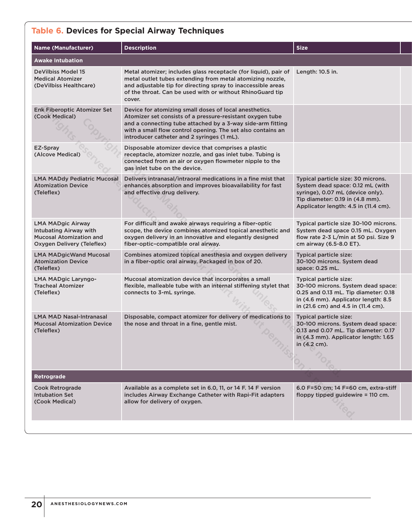# **Table 6. Devices for Special Airway Techniques**

| <b>Name (Manufacturer)</b>                                                                                                | <b>Description</b>                                                                                                                                                                                                                                                                             | <b>Size</b>                                                                                                                                                                           |  |
|---------------------------------------------------------------------------------------------------------------------------|------------------------------------------------------------------------------------------------------------------------------------------------------------------------------------------------------------------------------------------------------------------------------------------------|---------------------------------------------------------------------------------------------------------------------------------------------------------------------------------------|--|
| <b>Awake Intubation</b>                                                                                                   |                                                                                                                                                                                                                                                                                                |                                                                                                                                                                                       |  |
| <b>DeVilbiss Model 15</b><br><b>Medical Atomizer</b><br>(DeVilbiss Healthcare)                                            | Metal atomizer; includes glass receptacle (for liquid), pair of<br>metal outlet tubes extending from metal atomizing nozzle,<br>and adjustable tip for directing spray to inaccessible areas<br>of the throat. Can be used with or without RhinoGuard tip<br>cover.                            | Length: 10.5 in.                                                                                                                                                                      |  |
| Enk Fiberoptic Atomizer Set<br>(Cook Medical)                                                                             | Device for atomizing small doses of local anesthetics.<br>Atomizer set consists of a pressure-resistant oxygen tube<br>and a connecting tube attached by a 3-way side-arm fitting<br>with a small flow control opening. The set also contains an<br>introducer catheter and 2 syringes (1 mL). |                                                                                                                                                                                       |  |
| EZ-Spray<br>(Alcove Medical)                                                                                              | Disposable atomizer device that comprises a plastic<br>receptacle, atomizer nozzle, and gas inlet tube. Tubing is<br>connected from an air or oxygen flowmeter nipple to the<br>gas inlet tube on the device.                                                                                  |                                                                                                                                                                                       |  |
| <b>LMA MADdy Pediatric Mucosal</b><br><b>Atomization Device</b><br>(Teleflex)                                             | Delivers intranasal/intraoral medications in a fine mist that<br>enhances absorption and improves bioavailability for fast<br>and effective drug delivery.                                                                                                                                     | Typical particle size: 30 microns.<br>System dead space: 0.12 mL (with<br>syringe), 0.07 mL (device only).<br>Tip diameter: 0.19 in (4.8 mm).<br>Applicator length: 4.5 in (11.4 cm). |  |
| <b>LMA MADgic Airway</b><br><b>Intubating Airway with</b><br><b>Mucosal Atomization and</b><br>Oxygen Delivery (Teleflex) | For difficult and awake airways requiring a fiber-optic<br>scope, the device combines atomized topical anesthetic and<br>oxygen delivery in an innovative and elegantly designed<br>fiber-optic-compatible oral airway.                                                                        | Typical particle size 30-100 microns.<br>System dead space 0.15 mL. Oxygen<br>flow rate 2-3 L/min at 50 psi. Size 9<br>cm airway (6.5-8.0 ET).                                        |  |
| <b>LMA MADgicWand Mucosal</b><br><b>Atomization Device</b><br>(Teleflex)                                                  | Combines atomized topical anesthesia and oxygen delivery<br>in a fiber-optic oral airway. Packaged in box of 20.                                                                                                                                                                               | Typical particle size:<br>30-100 microns. System dead<br>space: 0.25 mL.                                                                                                              |  |
| <b>LMA MADgic Laryngo-</b><br><b>Tracheal Atomizer</b><br>(Teleflex)                                                      | Mucosal atomization device that incorporates a small<br>flexible, malleable tube with an internal stiffening stylet that<br>connects to 3-mL syringe.                                                                                                                                          | Typical particle size:<br>30-100 microns. System dead space:<br>0.25 and 0.13 mL. Tip diameter: 0.18<br>in (4.6 mm). Applicator length: 8.5<br>in (21.6 cm) and 4.5 in (11.4 cm).     |  |
| <b>LMA MAD Nasal-Intranasal</b><br><b>Mucosal Atomization Device</b><br>(Teleflex)                                        | Disposable, compact atomizer for delivery of medications to<br>the nose and throat in a fine, gentle mist.                                                                                                                                                                                     | Typical particle size:<br>30-100 microns. System dead space:<br>0.13 and 0.07 mL. Tip diameter: 0.17<br>in (4.3 mm). Applicator length: 1.65<br>in (4.2 cm).                          |  |
| <b>Retrograde</b>                                                                                                         |                                                                                                                                                                                                                                                                                                |                                                                                                                                                                                       |  |
| Cook Retrograde<br>Intubation Set<br>(Cook Medical)                                                                       | Available as a complete set in 6.0, 11, or 14 F. 14 F version<br>includes Airway Exchange Catheter with Rapi-Fit adapters<br>allow for delivery of oxygen.                                                                                                                                     | 6.0 F=50 cm; 14 F=60 cm, extra-stiff<br>floppy tipped guidewire = 110 cm.                                                                                                             |  |
|                                                                                                                           |                                                                                                                                                                                                                                                                                                |                                                                                                                                                                                       |  |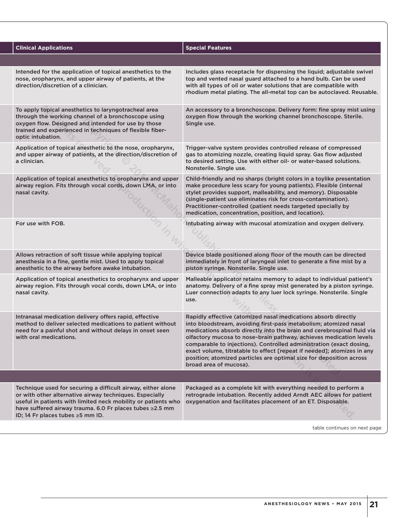| <b>Clinical Applications</b>                                                                                                                                                                                                                                                             | <b>Special Features</b>                                                                                                                                                                                                                                                                                                                                                                                                                                                                                                            |
|------------------------------------------------------------------------------------------------------------------------------------------------------------------------------------------------------------------------------------------------------------------------------------------|------------------------------------------------------------------------------------------------------------------------------------------------------------------------------------------------------------------------------------------------------------------------------------------------------------------------------------------------------------------------------------------------------------------------------------------------------------------------------------------------------------------------------------|
|                                                                                                                                                                                                                                                                                          |                                                                                                                                                                                                                                                                                                                                                                                                                                                                                                                                    |
| Intended for the application of topical anesthetics to the<br>nose, oropharynx, and upper airway of patients, at the<br>direction/discretion of a clinician.                                                                                                                             | Includes glass receptacle for dispensing the liquid; adjustable swivel<br>top and vented nasal guard attached to a hand bulb. Can be used<br>with all types of oil or water solutions that are compatible with<br>rhodium metal plating. The all-metal top can be autoclaved. Reusable.                                                                                                                                                                                                                                            |
| To apply topical anesthetics to laryngotracheal area<br>through the working channel of a bronchoscope using<br>oxygen flow. Designed and intended for use by those<br>trained and experienced in techniques of flexible fiber-<br>optic intubation.                                      | An accessory to a bronchoscope. Delivery form: fine spray mist using<br>oxygen flow through the working channel bronchoscope. Sterile.<br>Single use.                                                                                                                                                                                                                                                                                                                                                                              |
| Application of topical anesthetic to the nose, oropharynx,<br>and upper airway of patients, at the direction/discretion of<br>a clinician.                                                                                                                                               | Trigger-valve system provides controlled release of compressed<br>gas to atomizing nozzle, creating liquid spray. Gas flow adjusted<br>to desired setting. Use with either oil- or water-based solutions.<br>Nonsterile. Single use.                                                                                                                                                                                                                                                                                               |
| Application of topical anesthetics to oropharynx and upper<br>airway region. Fits through vocal cords, down LMA, or into<br>nasal cavity.                                                                                                                                                | Child-friendly and no sharps (bright colors in a toylike presentation<br>make procedure less scary for young patients). Flexible (internal<br>stylet provides support, malleability, and memory). Disposable<br>(single-patient use eliminates risk for cross-contamination).<br>Practitioner-controlled (patient needs targeted specially by<br>medication, concentration, position, and location).                                                                                                                               |
| For use with FOB.                                                                                                                                                                                                                                                                        | Intubating airway with mucosal atomization and oxygen delivery.                                                                                                                                                                                                                                                                                                                                                                                                                                                                    |
| Allows retraction of soft tissue while applying topical<br>anesthesia in a fine, gentle mist. Used to apply topical<br>anesthetic to the airway before awake intubation.                                                                                                                 | Device blade positioned along floor of the mouth can be directed<br>immediately in front of laryngeal inlet to generate a fine mist by a<br>piston syringe. Nonsterile. Single use.                                                                                                                                                                                                                                                                                                                                                |
| Application of topical anesthetics to oropharynx and upper<br>airway region. Fits through vocal cords, down LMA, or into<br>nasal cavity.                                                                                                                                                | Malleable applicator retains memory to adapt to individual patient's<br>anatomy. Delivery of a fine spray mist generated by a piston syringe.<br>Luer connection adapts to any luer lock syringe. Nonsterile. Single<br>use.                                                                                                                                                                                                                                                                                                       |
| Intranasal medication delivery offers rapid, effective<br>method to deliver selected medications to patient without<br>need for a painful shot and without delays in onset seen<br>with oral medications.                                                                                | Rapidly effective (atomized nasal medications absorb directly<br>into bloodstream, avoiding first-pass metabolism; atomized nasal<br>medications absorb directly into the brain and cerebrospinal fluid via<br>olfactory mucosa to nose-brain pathway, achieves medication levels<br>comparable to injections). Controlled administration (exact dosing<br>exact volume, titratable to effect [repeat if needed]; atomizes in any<br>position; atomized particles are optimal size for deposition across<br>broad area of mucosa). |
|                                                                                                                                                                                                                                                                                          |                                                                                                                                                                                                                                                                                                                                                                                                                                                                                                                                    |
| Technique used for securing a difficult airway, either alone<br>or with other alternative airway techniques. Especially<br>useful in patients with limited neck mobility or patients who<br>have suffered airway trauma. 6.0 Fr places tubes ≥2.5 mm<br>ID; 14 Fr places tubes ≥5 mm ID. | Packaged as a complete kit with everything needed to perform a<br>retrograde intubation. Recently added Arndt AEC allows for patient<br>oxygenation and facilitates placement of an ET. Disposable.                                                                                                                                                                                                                                                                                                                                |
|                                                                                                                                                                                                                                                                                          |                                                                                                                                                                                                                                                                                                                                                                                                                                                                                                                                    |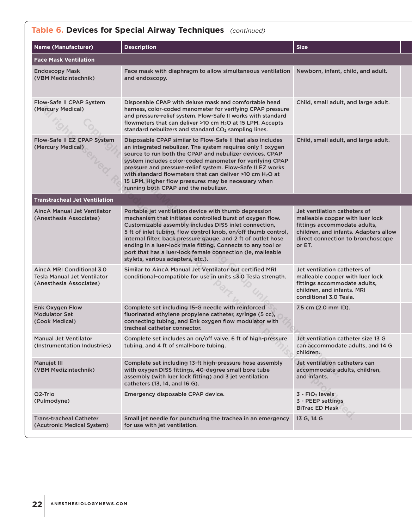### **Table 6. Devices for Special Airway Techniques** (continued) *(continued)*

| <b>Name (Manufacturer)</b>                                                                 | <b>Description</b>                                                                                                                                                                                                                                                                                                                                                                                                                                                                   | <b>Size</b>                                                                                                                                                                             |  |
|--------------------------------------------------------------------------------------------|--------------------------------------------------------------------------------------------------------------------------------------------------------------------------------------------------------------------------------------------------------------------------------------------------------------------------------------------------------------------------------------------------------------------------------------------------------------------------------------|-----------------------------------------------------------------------------------------------------------------------------------------------------------------------------------------|--|
| <b>Face Mask Ventilation</b>                                                               |                                                                                                                                                                                                                                                                                                                                                                                                                                                                                      |                                                                                                                                                                                         |  |
| <b>Endoscopy Mask</b><br>(VBM Medizintechnik)                                              | Face mask with diaphragm to allow simultaneous ventilation<br>and endoscopy.                                                                                                                                                                                                                                                                                                                                                                                                         | Newborn, infant, child, and adult.                                                                                                                                                      |  |
| Flow-Safe II CPAP System<br>(Mercury Medical)                                              | Disposable CPAP with deluxe mask and comfortable head<br>harness, color-coded manometer for verifying CPAP pressure<br>and pressure-relief system. Flow-Safe II works with standard<br>flowmeters that can deliver $>10$ cm $H2O$ at 15 LPM. Accepts<br>standard nebulizers and standard CO <sub>2</sub> sampling lines.                                                                                                                                                             | Child, small adult, and large adult.                                                                                                                                                    |  |
| Flow-Safe II EZ CPAP System<br>(Mercury Medical)                                           | Disposable CPAP similar to Flow-Safe II that also includes<br>an integrated nebulizer. The system requires only 1 oxygen<br>source to run both the CPAP and nebulizer devices. CPAP<br>system includes color-coded manometer for verifying CPAP<br>pressure and pressure-relief system. Flow-Safe II EZ works<br>with standard flowmeters that can deliver >10 cm H <sub>2</sub> O at<br>15 LPM. Higher flow pressures may be necessary when<br>running both CPAP and the nebulizer. | Child, small adult, and large adult.                                                                                                                                                    |  |
| <b>Transtracheal Jet Ventilation</b>                                                       |                                                                                                                                                                                                                                                                                                                                                                                                                                                                                      |                                                                                                                                                                                         |  |
| <b>AincA Manual Jet Ventilator</b><br>(Anesthesia Associates)                              | Portable jet ventilation device with thumb depression<br>mechanism that initiates controlled burst of oxygen flow.<br>Customizable assembly includes DISS inlet connection,<br>5 ft of inlet tubing, flow control knob, on/off thumb control,<br>internal filter, back pressure gauge, and 2 ft of outlet hose<br>ending in a luer-lock male fitting. Connects to any tool or<br>port that has a luer-lock female connection (ie, malleable<br>stylets, various adapters, etc.).     | Jet ventilation catheters of<br>malleable copper with luer lock<br>fittings accommodate adults,<br>children, and infants. Adapters allow<br>direct connection to bronchoscope<br>or ET. |  |
| AincA MRI Conditional 3.0<br><b>Tesla Manual Jet Ventilator</b><br>(Anesthesia Associates) | Similar to AincA Manual Jet Ventilator but certified MRI<br>conditional-compatible for use in units ≤3.0 Tesla strength.                                                                                                                                                                                                                                                                                                                                                             | Jet ventilation catheters of<br>malleable copper with luer lock<br>fittings accommodate adults,<br>children, and infants. MRI<br>conditional 3.0 Tesla.                                 |  |
| Enk Oxygen Flow<br><b>Modulator Set</b><br>(Cook Medical)                                  | Complete set including 15-G needle with reinforced<br>fluorinated ethylene propylene catheter, syringe (5 cc),<br>connecting tubing, and Enk oxygen flow modulator with<br>tracheal catheter connector.                                                                                                                                                                                                                                                                              | 7.5 cm (2.0 mm ID).                                                                                                                                                                     |  |
| <b>Manual Jet Ventilator</b><br>(Instrumentation Industries)                               | Complete set includes an on/off valve, 6 ft of high-pressure<br>tubing, and 4 ft of small-bore tubing.                                                                                                                                                                                                                                                                                                                                                                               | Jet ventilation catheter size 13 G<br>can accommodate adults, and 14 G<br>children.                                                                                                     |  |
| <b>Manujet III</b><br>(VBM Medizintechnik)                                                 | Complete set including 13-ft high-pressure hose assembly<br>with oxygen DISS fittings, 40-degree small bore tube<br>assembly (with luer lock fitting) and 3 jet ventilation<br>catheters (13, 14, and 16 G).                                                                                                                                                                                                                                                                         | Jet ventilation catheters can<br>accommodate adults, children,<br>and infants.                                                                                                          |  |
| O <sub>2</sub> -Trio<br>(Pulmodyne)                                                        | Emergency disposable CPAP device.                                                                                                                                                                                                                                                                                                                                                                                                                                                    | 3 - FiO <sub>2</sub> levels<br>3 - PEEP settings<br><b>BiTrac ED Mask</b>                                                                                                               |  |
| <b>Trans-tracheal Catheter</b><br>(Acutronic Medical System)                               | Small jet needle for puncturing the trachea in an emergency<br>for use with jet ventilation.                                                                                                                                                                                                                                                                                                                                                                                         | 13 G, 14 G                                                                                                                                                                              |  |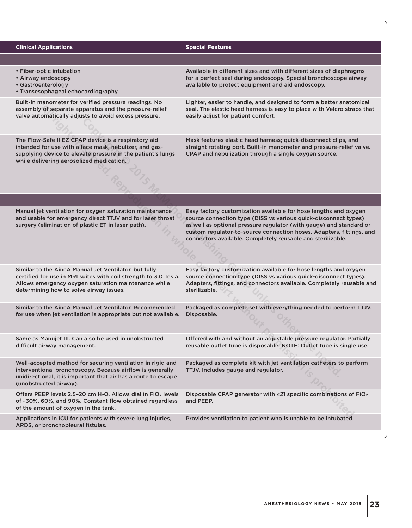| <b>Clinical Applications</b>                                                                                                                                                                                                 | <b>Special Features</b>                                                                                                                                                                                                                                                                                                                           |
|------------------------------------------------------------------------------------------------------------------------------------------------------------------------------------------------------------------------------|---------------------------------------------------------------------------------------------------------------------------------------------------------------------------------------------------------------------------------------------------------------------------------------------------------------------------------------------------|
|                                                                                                                                                                                                                              |                                                                                                                                                                                                                                                                                                                                                   |
| • Fiber-optic intubation<br>• Airway endoscopy<br>• Gastroenterology<br>• Transesophageal echocardiography                                                                                                                   | Available in different sizes and with different sizes of diaphragms<br>for a perfect seal during endoscopy. Special bronchoscope airway<br>available to protect equipment and aid endoscopy.                                                                                                                                                      |
| Built-in manometer for verified pressure readings. No<br>assembly of separate apparatus and the pressure-relief<br>valve automatically adjusts to avoid excess pressure.                                                     | Lighter, easier to handle, and designed to form a better anatomical<br>seal. The elastic head harness is easy to place with Velcro straps that<br>easily adjust for patient comfort.                                                                                                                                                              |
| The Flow-Safe II EZ CPAP device is a respiratory aid<br>intended for use with a face mask, nebulizer, and gas-<br>supplying device to elevate pressure in the patient's lungs<br>while delivering aerosolized medication.    | Mask features elastic head harness; quick-disconnect clips, and<br>straight rotating port. Built-in manometer and pressure-relief valve.<br>CPAP and nebulization through a single oxygen source.                                                                                                                                                 |
|                                                                                                                                                                                                                              |                                                                                                                                                                                                                                                                                                                                                   |
| Manual jet ventilation for oxygen saturation maintenance<br>and usable for emergency direct TTJV and for laser throat<br>surgery (elimination of plastic ET in laser path).                                                  | Easy factory customization available for hose lengths and oxygen<br>source connection type (DISS vs various quick-disconnect types)<br>as well as optional pressure regulator (with gauge) and standard or<br>custom regulator-to-source connection hoses. Adapters, fittings, and<br>connectors available. Completely reusable and sterilizable. |
| Similar to the AincA Manual Jet Ventilator, but fully<br>certified for use in MRI suites with coil strength to 3.0 Tesla.<br>Allows emergency oxygen saturation maintenance while<br>determining how to solve airway issues. | Easy factory customization available for hose lengths and oxygen<br>source connection type (DISS vs various quick-disconnect types).<br>Adapters, fittings, and connectors available. Completely reusable and<br>sterilizable.                                                                                                                    |
| Similar to the AincA Manual Jet Ventilator, Recommended<br>for use when jet ventilation is appropriate but not available.                                                                                                    | Packaged as complete set with everything needed to perform TTJV.<br>Disposable.                                                                                                                                                                                                                                                                   |
| Same as Manujet III. Can also be used in unobstructed<br>difficult airway management.                                                                                                                                        | Offered with and without an adjustable pressure regulator. Partially<br>reusable outlet tube is disposable. NOTE: Outlet tube is single use.                                                                                                                                                                                                      |
| Well-accepted method for securing ventilation in rigid and<br>interventional bronchoscopy. Because airflow is generally<br>unidirectional, it is important that air has a route to escape<br>(unobstructed airway).          | Packaged as complete kit with jet ventilation catheters to perform<br>TTJV. Includes gauge and regulator.                                                                                                                                                                                                                                         |
| Offers PEEP levels 2.5-20 cm H <sub>2</sub> O. Allows dial in FiO <sub>2</sub> levels<br>of ~30%, 60%, and 90%. Constant flow obtained regardless<br>of the amount of oxygen in the tank.                                    | Disposable CPAP generator with $\leq$ 21 specific combinations of FiO <sub>2</sub><br>and PEEP.                                                                                                                                                                                                                                                   |
| Applications in ICU for patients with severe lung injuries,<br>ARDS, or bronchopleural fistulas.                                                                                                                             | Provides ventilation to patient who is unable to be intubated.                                                                                                                                                                                                                                                                                    |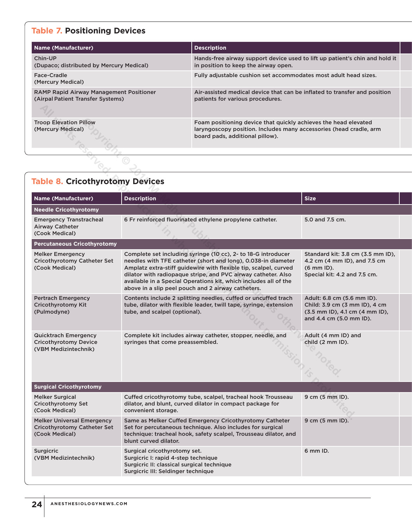# **Table 7. Positioning Devices**

| <b>Name (Manufacturer)</b>                                                          | <b>Description</b>                                                                                                                                                       |  |
|-------------------------------------------------------------------------------------|--------------------------------------------------------------------------------------------------------------------------------------------------------------------------|--|
| Chin-UP<br>(Dupaco; distributed by Mercury Medical)                                 | Hands-free airway support device used to lift up patient's chin and hold it<br>in position to keep the airway open.                                                      |  |
| Face-Cradle<br>(Mercury Medical)                                                    | Fully adjustable cushion set accommodates most adult head sizes.                                                                                                         |  |
| <b>RAMP Rapid Airway Management Positioner</b><br>(Airpal Patient Transfer Systems) | Air-assisted medical device that can be inflated to transfer and position<br>patients for various procedures.                                                            |  |
| <b>Troop Elevation Pillow</b><br>(Mercury Medical)                                  | Foam positioning device that quickly achieves the head elevated<br>laryngoscopy position. Includes many accessories (head cradle, arm<br>board pads, additional pillow). |  |

| <b>Troop Elevation Pillow</b><br>(Mercury Medical)                                  |                                                                                                                                                                                                                                                                                                                                                                                               | Foam positioning device that quickly achieves the head elevated<br>laryngoscopy position. Includes many accessories (head cradle, arm<br>board pads, additional pillow). |                                                                                                                              |
|-------------------------------------------------------------------------------------|-----------------------------------------------------------------------------------------------------------------------------------------------------------------------------------------------------------------------------------------------------------------------------------------------------------------------------------------------------------------------------------------------|--------------------------------------------------------------------------------------------------------------------------------------------------------------------------|------------------------------------------------------------------------------------------------------------------------------|
|                                                                                     |                                                                                                                                                                                                                                                                                                                                                                                               |                                                                                                                                                                          |                                                                                                                              |
|                                                                                     |                                                                                                                                                                                                                                                                                                                                                                                               |                                                                                                                                                                          |                                                                                                                              |
| <b>Table 8. Cricothyrotomy Devices</b>                                              |                                                                                                                                                                                                                                                                                                                                                                                               |                                                                                                                                                                          |                                                                                                                              |
| <b>Name (Manufacturer)</b>                                                          | <b>Description</b>                                                                                                                                                                                                                                                                                                                                                                            |                                                                                                                                                                          | <b>Size</b>                                                                                                                  |
| <b>Needle Cricothyrotomy</b>                                                        |                                                                                                                                                                                                                                                                                                                                                                                               |                                                                                                                                                                          |                                                                                                                              |
| <b>Emergency Transtracheal</b><br><b>Airway Catheter</b><br>(Cook Medical)          |                                                                                                                                                                                                                                                                                                                                                                                               | 6 Fr reinforced fluorinated ethylene propylene catheter.                                                                                                                 | 5.0 and 7.5 cm.                                                                                                              |
| <b>Percutaneous Cricothyrotomy</b>                                                  |                                                                                                                                                                                                                                                                                                                                                                                               |                                                                                                                                                                          |                                                                                                                              |
| <b>Melker Emergency</b><br>Cricothyrotomy Catheter Set<br>(Cook Medical)            | Complete set including syringe (10 cc), 2- to 18-G introducer<br>needles with TFE catheter (short and long), 0.038-in diameter<br>Amplatz extra-stiff guidewire with flexible tip, scalpel, curved<br>dilator with radiopaque stripe, and PVC airway catheter. Also<br>available in a Special Operations kit, which includes all of the<br>above in a slip peel pouch and 2 airway catheters. |                                                                                                                                                                          | Standard kit: 3.8 cm (3.5 mm ID),<br>4.2 cm (4 mm ID), and 7.5 cm<br>$(6$ mm $ID)$ .<br>Special kit: 4.2 and 7.5 cm.         |
| <b>Pertrach Emergency</b><br>Cricothyrotomy Kit<br>(Pulmodyne)                      | Contents include 2 splitting needles, cuffed or uncuffed trach<br>tube, dilator with flexible leader, twill tape, syringe, extension<br>tube, and scalpel (optional).                                                                                                                                                                                                                         |                                                                                                                                                                          | Adult: 6.8 cm (5.6 mm ID).<br>Child: 3.9 cm (3 mm ID), 4 cm<br>$(3.5$ mm ID), 4.1 cm $(4$ mm ID),<br>and 4.4 cm (5.0 mm ID). |
| <b>Quicktrach Emergency</b><br><b>Cricothyrotomy Device</b><br>(VBM Medizintechnik) | Complete kit includes airway catheter, stopper, needle, and<br>syringes that come preassembled.                                                                                                                                                                                                                                                                                               |                                                                                                                                                                          | Adult (4 mm ID) and<br>child (2 mm ID).                                                                                      |
| <b>Surgical Cricothyrotomy</b>                                                      |                                                                                                                                                                                                                                                                                                                                                                                               |                                                                                                                                                                          |                                                                                                                              |
| Melker Surgical<br>Cricothyrotomy Set<br>(Cook Medical)                             | Cuffed cricothyrotomy tube, scalpel, tracheal hook Trousseau<br>dilator, and blunt, curved dilator in compact package for<br>convenient storage.                                                                                                                                                                                                                                              |                                                                                                                                                                          | 9 cm (5 mm ID).                                                                                                              |
| Melker Universal Emergency<br><b>Cricothyrotomy Catheter Set</b><br>(Cook Medical)  | Same as Melker Cuffed Emergency Cricothyrotomy Catheter<br>Set for percutaneous technique. Also includes for surgical<br>technique: tracheal hook, safety scalpel, Trousseau dilator, and<br>blunt curved dilator.                                                                                                                                                                            |                                                                                                                                                                          | 9 cm (5 mm ID).                                                                                                              |
| Surgicric<br>(VBM Medizintechnik)                                                   | Surgical cricothyrotomy set.<br>Surgicric I: rapid 4-step technique<br>Surgicric II: classical surgical technique<br>Surgicric III: Seldinger technique                                                                                                                                                                                                                                       |                                                                                                                                                                          | 6 mm ID.                                                                                                                     |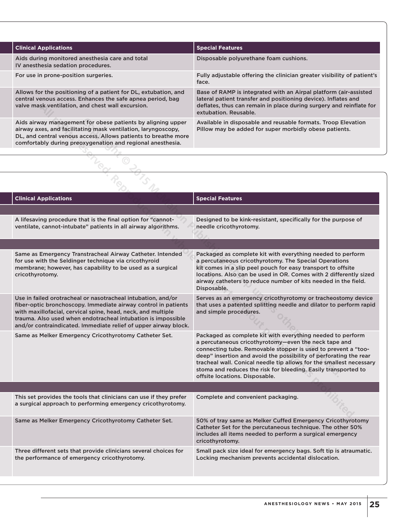| <b>Clinical Applications</b>                                                                                                                                                                                                                                 | <b>Special Features</b>                                                                                                                                                                                                            |
|--------------------------------------------------------------------------------------------------------------------------------------------------------------------------------------------------------------------------------------------------------------|------------------------------------------------------------------------------------------------------------------------------------------------------------------------------------------------------------------------------------|
| Aids during monitored anesthesia care and total<br>IV anesthesia sedation procedures.                                                                                                                                                                        | Disposable polyurethane foam cushions.                                                                                                                                                                                             |
| For use in prone-position surgeries.                                                                                                                                                                                                                         | Fully adjustable offering the clinician greater visibility of patient's<br>face.                                                                                                                                                   |
| Allows for the positioning of a patient for DL, extubation, and<br>central venous access. Enhances the safe apnea period, bag<br>valve mask ventilation, and chest wall excursion.                                                                           | Base of RAMP is integrated with an Airpal platform (air-assisted<br>lateral patient transfer and positioning device). Inflates and<br>deflates, thus can remain in place during surgery and reinflate for<br>extubation, Reusable. |
| Aids airway management for obese patients by aligning upper<br>airway axes, and facilitating mask ventilation, laryngoscopy,<br>DL, and central venous access. Allows patients to breathe more<br>comfortably during preoxygenation and regional anesthesia. | Available in disposable and reusable formats. Troop Elevation<br>Pillow may be added for super morbidly obese patients.                                                                                                            |

| valve mask ventilation, and chest wall excursion.                                                                                                                                                                                                                                                                                 | deflates, thus can remain in place during surgery and reinflate for<br>extubation. Reusable.                                                                                                                                                                                                                                                                                                                                        |
|-----------------------------------------------------------------------------------------------------------------------------------------------------------------------------------------------------------------------------------------------------------------------------------------------------------------------------------|-------------------------------------------------------------------------------------------------------------------------------------------------------------------------------------------------------------------------------------------------------------------------------------------------------------------------------------------------------------------------------------------------------------------------------------|
| Aids airway management for obese patients by aligning upper<br>airway axes, and facilitating mask ventilation, laryngoscopy,<br>DL, and central venous access. Allows patients to breathe more<br>comfortably during preoxygenation and regional anesthesia.                                                                      | Available in disposable and reusable formats. Troop Elevation<br>Pillow may be added for super morbidly obese patients.                                                                                                                                                                                                                                                                                                             |
|                                                                                                                                                                                                                                                                                                                                   |                                                                                                                                                                                                                                                                                                                                                                                                                                     |
|                                                                                                                                                                                                                                                                                                                                   |                                                                                                                                                                                                                                                                                                                                                                                                                                     |
|                                                                                                                                                                                                                                                                                                                                   |                                                                                                                                                                                                                                                                                                                                                                                                                                     |
| <b>Clinical Applications</b>                                                                                                                                                                                                                                                                                                      | <b>Special Features</b>                                                                                                                                                                                                                                                                                                                                                                                                             |
| A lifesaving procedure that is the final option for "cannot-<br>ventilate, cannot-intubate" patients in all airway algorithms.                                                                                                                                                                                                    | Designed to be kink-resistant, specifically for the purpose of<br>needle cricothyrotomy.                                                                                                                                                                                                                                                                                                                                            |
|                                                                                                                                                                                                                                                                                                                                   |                                                                                                                                                                                                                                                                                                                                                                                                                                     |
| Same as Emergency Transtracheal Airway Catheter. Intended<br>for use with the Seldinger technique via cricothyroid<br>membrane; however, has capability to be used as a surgical<br>cricothyrotomy.                                                                                                                               | Packaged as complete kit with everything needed to perform<br>a percutaneous cricothyrotomy. The Special Operations<br>kit comes in a slip peel pouch for easy transport to offsite<br>locations. Also can be used in OR. Comes with 2 differently sized<br>airway catheters to reduce number of kits needed in the field.<br>Disposable.                                                                                           |
| Use in failed orotracheal or nasotracheal intubation, and/or<br>fiber-optic bronchoscopy. Immediate airway control in patients<br>with maxillofacial, cervical spine, head, neck, and multiple<br>trauma. Also used when endotracheal intubation is impossible<br>and/or contraindicated. Immediate relief of upper airway block. | Serves as an emergency cricothyrotomy or tracheostomy device<br>that uses a patented splitting needle and dilator to perform rapid<br>and simple procedures.                                                                                                                                                                                                                                                                        |
| Same as Melker Emergency Cricothyrotomy Catheter Set.                                                                                                                                                                                                                                                                             | Packaged as complete kit with everything needed to perform<br>a percutaneous cricothyrotomy-even the neck tape and<br>connecting tube. Removable stopper is used to prevent a "too-<br>deep" insertion and avoid the possibility of perforating the rear<br>tracheal wall. Conical needle tip allows for the smallest necessary<br>stoma and reduces the risk for bleeding. Easily transported to<br>offsite locations. Disposable. |
|                                                                                                                                                                                                                                                                                                                                   |                                                                                                                                                                                                                                                                                                                                                                                                                                     |
| This set provides the tools that clinicians can use if they prefer<br>a surgical approach to performing emergency cricothyrotomy.                                                                                                                                                                                                 | Complete and convenient packaging.                                                                                                                                                                                                                                                                                                                                                                                                  |
| Same as Melker Emergency Cricothyrotomy Catheter Set.                                                                                                                                                                                                                                                                             | 50% of tray same as Melker Cuffed Emergency Cricothyrotomy<br>Catheter Set for the percutaneous technique. The other 50%<br>includes all items needed to perform a surgical emergency<br>cricothyrotomy.                                                                                                                                                                                                                            |
| Three different sets that provide clinicians several choices for<br>the performance of emergency cricothyrotomy.                                                                                                                                                                                                                  | Small pack size ideal for emergency bags. Soft tip is atraumatic.<br>Locking mechanism prevents accidental dislocation.                                                                                                                                                                                                                                                                                                             |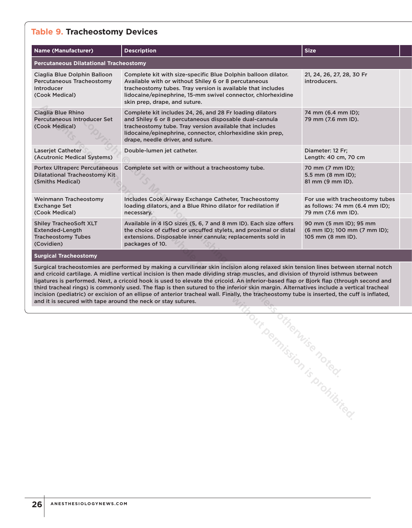### **Table 9. Tracheostomy Devices**

| <b>Name (Manufacturer)</b>                                                                                                                                                                                                                                                                                                                                                                                                                                                                                                                                                                                                                                                                                                                                              | <b>Description</b>                                                                                                                                                                                                                                                                    | <b>Size</b>                                                                             |  |
|-------------------------------------------------------------------------------------------------------------------------------------------------------------------------------------------------------------------------------------------------------------------------------------------------------------------------------------------------------------------------------------------------------------------------------------------------------------------------------------------------------------------------------------------------------------------------------------------------------------------------------------------------------------------------------------------------------------------------------------------------------------------------|---------------------------------------------------------------------------------------------------------------------------------------------------------------------------------------------------------------------------------------------------------------------------------------|-----------------------------------------------------------------------------------------|--|
| <b>Percutaneous Dilatational Tracheostomy</b>                                                                                                                                                                                                                                                                                                                                                                                                                                                                                                                                                                                                                                                                                                                           |                                                                                                                                                                                                                                                                                       |                                                                                         |  |
| Ciaglia Blue Dolphin Balloon<br>Percutaneous Tracheostomy<br><b>Introducer</b><br>(Cook Medical)                                                                                                                                                                                                                                                                                                                                                                                                                                                                                                                                                                                                                                                                        | Complete kit with size-specific Blue Dolphin balloon dilator.<br>Available with or without Shiley 6 or 8 percutaneous<br>tracheostomy tubes. Tray version is available that includes<br>lidocaine/epinephrine, 15-mm swivel connector, chlorhexidine<br>skin prep, drape, and suture. | 21, 24, 26, 27, 28, 30 Fr<br>introducers.                                               |  |
| Ciaglia Blue Rhino<br><b>Percutaneous Introducer Set</b><br>(Cook Medical)                                                                                                                                                                                                                                                                                                                                                                                                                                                                                                                                                                                                                                                                                              | Complete kit includes 24, 26, and 28 Fr loading dilators<br>and Shiley 6 or 8 percutaneous disposable dual-cannula<br>tracheostomy tube. Tray version available that includes<br>lidocaine/epinephrine, connector, chlorhexidine skin prep,<br>drape, needle driver, and suture.      | 74 mm (6.4 mm ID);<br>79 mm (7.6 mm ID).                                                |  |
| Laserjet Catheter<br>(Acutronic Medical Systems)                                                                                                                                                                                                                                                                                                                                                                                                                                                                                                                                                                                                                                                                                                                        | Double-lumen jet catheter.                                                                                                                                                                                                                                                            | Diameter: 12 Fr;<br>Length: 40 cm, 70 cm                                                |  |
| <b>Portex Ultraperc Percutaneous</b><br><b>Dilatational Tracheostomy Kit</b><br>(Smiths Medical)                                                                                                                                                                                                                                                                                                                                                                                                                                                                                                                                                                                                                                                                        | Complete set with or without a tracheostomy tube.<br>70 mm (7 mm ID);<br>5.5 mm (8 mm ID);<br>81 mm (9 mm ID).                                                                                                                                                                        |                                                                                         |  |
| <b>Weinmann Tracheostomy</b><br><b>Exchange Set</b><br>(Cook Medical)                                                                                                                                                                                                                                                                                                                                                                                                                                                                                                                                                                                                                                                                                                   | Includes Cook Airway Exchange Catheter, Tracheostomy<br>loading dilators, and a Blue Rhino dilator for redilation if<br>necessary.                                                                                                                                                    | For use with tracheostomy tubes<br>as follows: 74 mm (6.4 mm ID);<br>79 mm (7.6 mm ID). |  |
| <b>Shiley TracheoSoft XLT</b><br>Extended-Length<br><b>Tracheostomy Tubes</b><br>(Covidien)                                                                                                                                                                                                                                                                                                                                                                                                                                                                                                                                                                                                                                                                             | Available in 4 ISO sizes (5, 6, 7 and 8 mm ID). Each size offers<br>the choice of cuffed or uncuffed stylets, and proximal or distal<br>extensions. Disposable inner cannula; replacements sold in<br>packages of 10.                                                                 | 90 mm (5 mm ID); 95 mm<br>(6 mm ID); 100 mm (7 mm ID);<br>105 mm (8 mm ID).             |  |
| <b>Surgical Tracheostomy</b>                                                                                                                                                                                                                                                                                                                                                                                                                                                                                                                                                                                                                                                                                                                                            |                                                                                                                                                                                                                                                                                       |                                                                                         |  |
| Surgical tracheostomies are performed by making a curvilinear skin incision along relaxed skin tension lines between sternal notch<br>and cricoid cartilage. A midline vertical incision is then made dividing strap muscles, and division of thyroid isthmus between<br>ligatures is performed. Next, a cricoid hook is used to elevate the cricoid. An inferior-based flap or Bjork flap (through second and<br>third tracheal rings) is commonly used. The flap is then sutured to the inferior skin margin. Alternatives include a vertical tracheal<br>incision (pediatric) or excision of an ellipse of anterior tracheal wall. Finally, the tracheostomy tube is inserted, the cuff is inflated,<br>and it is secured with tape around the neck or stay sutures. |                                                                                                                                                                                                                                                                                       |                                                                                         |  |
|                                                                                                                                                                                                                                                                                                                                                                                                                                                                                                                                                                                                                                                                                                                                                                         |                                                                                                                                                                                                                                                                                       |                                                                                         |  |
|                                                                                                                                                                                                                                                                                                                                                                                                                                                                                                                                                                                                                                                                                                                                                                         |                                                                                                                                                                                                                                                                                       |                                                                                         |  |
|                                                                                                                                                                                                                                                                                                                                                                                                                                                                                                                                                                                                                                                                                                                                                                         |                                                                                                                                                                                                                                                                                       |                                                                                         |  |
|                                                                                                                                                                                                                                                                                                                                                                                                                                                                                                                                                                                                                                                                                                                                                                         |                                                                                                                                                                                                                                                                                       |                                                                                         |  |
|                                                                                                                                                                                                                                                                                                                                                                                                                                                                                                                                                                                                                                                                                                                                                                         |                                                                                                                                                                                                                                                                                       |                                                                                         |  |
|                                                                                                                                                                                                                                                                                                                                                                                                                                                                                                                                                                                                                                                                                                                                                                         |                                                                                                                                                                                                                                                                                       |                                                                                         |  |
|                                                                                                                                                                                                                                                                                                                                                                                                                                                                                                                                                                                                                                                                                                                                                                         |                                                                                                                                                                                                                                                                                       |                                                                                         |  |
|                                                                                                                                                                                                                                                                                                                                                                                                                                                                                                                                                                                                                                                                                                                                                                         |                                                                                                                                                                                                                                                                                       |                                                                                         |  |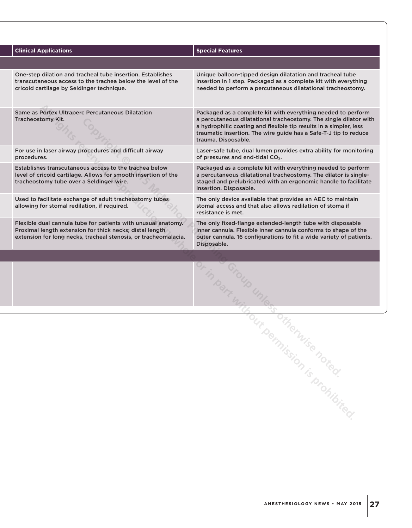| <b>Clinical Applications</b>                                                                                                                                                                 | <b>Special Features</b>                                                                                                                                                                                                                                                                           |
|----------------------------------------------------------------------------------------------------------------------------------------------------------------------------------------------|---------------------------------------------------------------------------------------------------------------------------------------------------------------------------------------------------------------------------------------------------------------------------------------------------|
|                                                                                                                                                                                              |                                                                                                                                                                                                                                                                                                   |
| One-step dilation and tracheal tube insertion. Establishes<br>transcutaneous access to the trachea below the level of the<br>cricoid cartilage by Seldinger technique.                       | Unique balloon-tipped design dilatation and tracheal tube<br>insertion in 1 step. Packaged as a complete kit with everything<br>needed to perform a percutaneous dilatational tracheostomy.                                                                                                       |
| Same as Portex Ultraperc Percutaneous Dilatation<br>Tracheostomy Kit.                                                                                                                        | Packaged as a complete kit with everything needed to perform<br>a percutaneous dilatational tracheostomy. The single dilator with<br>a hydrophilic coating and flexible tip results in a simpler, less<br>traumatic insertion. The wire guide has a Safe-T-J tip to reduce<br>trauma. Disposable. |
| For use in laser airway procedures and difficult airway<br>procedures.                                                                                                                       | Laser-safe tube, dual lumen provides extra ability for monitoring<br>of pressures and end-tidal CO <sub>2</sub> .                                                                                                                                                                                 |
| Establishes transcutaneous access to the trachea below<br>level of cricoid cartilage. Allows for smooth insertion of the<br>tracheostomy tube over a Seldinger wire.                         | Packaged as a complete kit with everything needed to perform<br>a percutaneous dilatational tracheostomy. The dilator is single-<br>staged and prelubricated with an ergonomic handle to facilitate<br>insertion. Disposable.                                                                     |
| Used to facilitate exchange of adult tracheostomy tubes<br>allowing for stomal redilation, if required.                                                                                      | The only device available that provides an AEC to maintain<br>stomal access and that also allows redilation of stoma if<br>resistance is met.                                                                                                                                                     |
| Flexible dual cannula tube for patients with unusual anatomy.<br>Proximal length extension for thick necks; distal length<br>extension for long necks, tracheal stenosis, or tracheomalacia. | The only fixed-flange extended-length tube with disposable<br>inner cannula. Flexible inner cannula conforms to shape of the<br>outer cannula. 16 configurations to fit a wide variety of patients.<br>Disposable.                                                                                |
|                                                                                                                                                                                              |                                                                                                                                                                                                                                                                                                   |
|                                                                                                                                                                                              |                                                                                                                                                                                                                                                                                                   |
|                                                                                                                                                                                              |                                                                                                                                                                                                                                                                                                   |
|                                                                                                                                                                                              |                                                                                                                                                                                                                                                                                                   |
|                                                                                                                                                                                              |                                                                                                                                                                                                                                                                                                   |
|                                                                                                                                                                                              |                                                                                                                                                                                                                                                                                                   |
|                                                                                                                                                                                              |                                                                                                                                                                                                                                                                                                   |
|                                                                                                                                                                                              |                                                                                                                                                                                                                                                                                                   |
|                                                                                                                                                                                              |                                                                                                                                                                                                                                                                                                   |